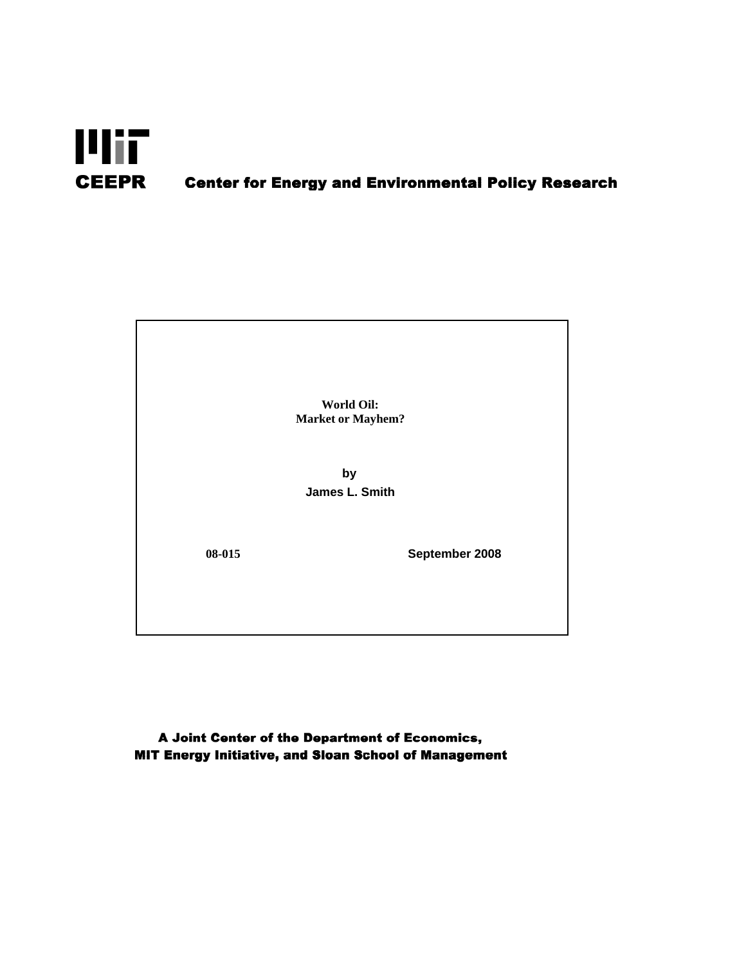

# **Center for Energy and Environmental Policy Research**

**World Oil: Market or Mayhem?**

**by James L. Smith**

**08-015**

**September 2008**

A Joint Center of the Department of Economics, MIT Energy Initiative, and Sloan School of Management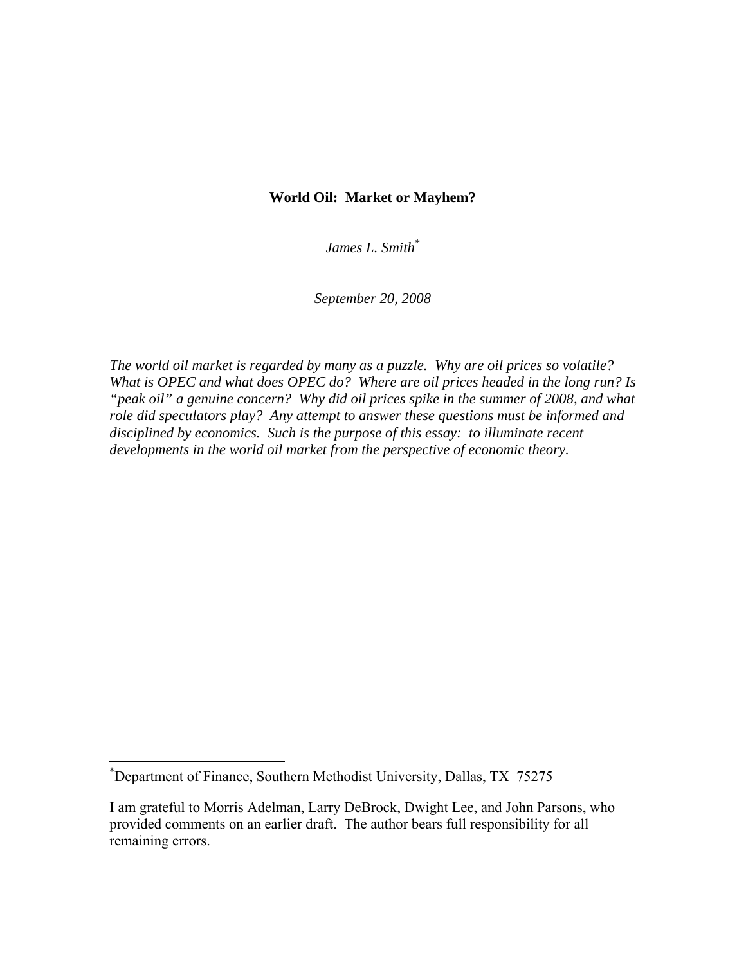## **World Oil: Market or Mayhem?**

*James L. Smith\**

*September 20, 2008* 

*The world oil market is regarded by many as a puzzle. Why are oil prices so volatile? What is OPEC and what does OPEC do? Where are oil prices headed in the long run? Is "peak oil" a genuine concern? Why did oil prices spike in the summer of 2008, and what role did speculators play? Any attempt to answer these questions must be informed and disciplined by economics. Such is the purpose of this essay: to illuminate recent developments in the world oil market from the perspective of economic theory.* 

<sup>\*</sup> Department of Finance, Southern Methodist University, Dallas, TX 75275

I am grateful to Morris Adelman, Larry DeBrock, Dwight Lee, and John Parsons, who provided comments on an earlier draft. The author bears full responsibility for all remaining errors.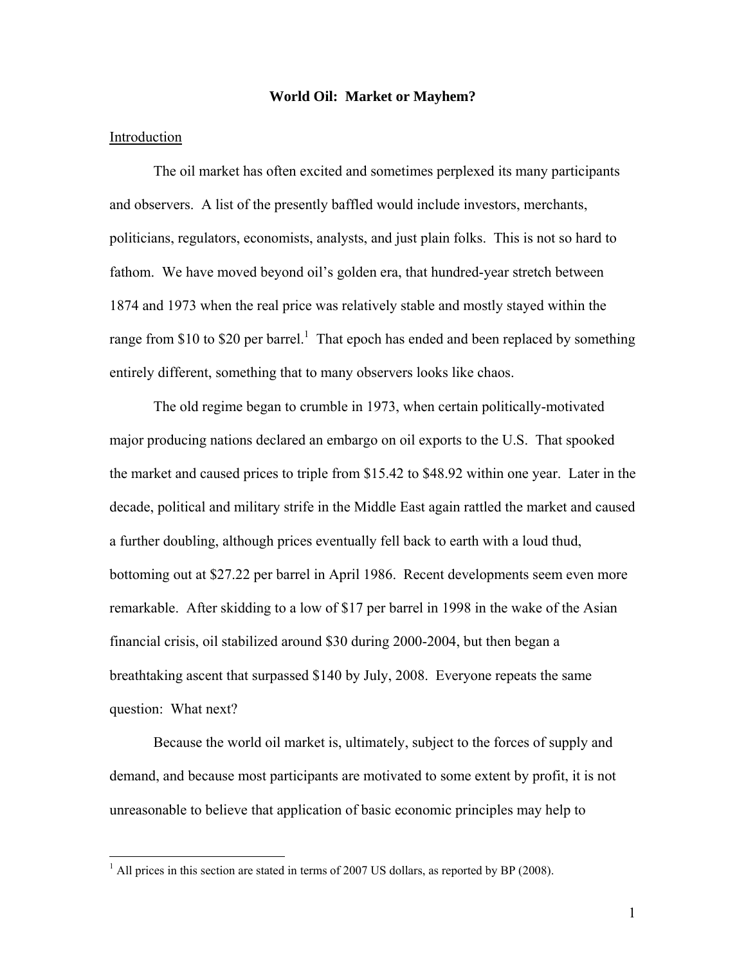### **World Oil: Market or Mayhem?**

### Introduction

 $\overline{a}$ 

 The oil market has often excited and sometimes perplexed its many participants and observers. A list of the presently baffled would include investors, merchants, politicians, regulators, economists, analysts, and just plain folks. This is not so hard to fathom. We have moved beyond oil's golden era, that hundred-year stretch between 1874 and 1973 when the real price was relatively stable and mostly stayed within the range from \$10 to \$20 per barrel.<sup>1</sup> That epoch has ended and been replaced by something entirely different, something that to many observers looks like chaos.

The old regime began to crumble in 1973, when certain politically-motivated major producing nations declared an embargo on oil exports to the U.S. That spooked the market and caused prices to triple from \$15.42 to \$48.92 within one year. Later in the decade, political and military strife in the Middle East again rattled the market and caused a further doubling, although prices eventually fell back to earth with a loud thud, bottoming out at \$27.22 per barrel in April 1986. Recent developments seem even more remarkable. After skidding to a low of \$17 per barrel in 1998 in the wake of the Asian financial crisis, oil stabilized around \$30 during 2000-2004, but then began a breathtaking ascent that surpassed \$140 by July, 2008. Everyone repeats the same question: What next?

Because the world oil market is, ultimately, subject to the forces of supply and demand, and because most participants are motivated to some extent by profit, it is not unreasonable to believe that application of basic economic principles may help to

 $<sup>1</sup>$  All prices in this section are stated in terms of 2007 US dollars, as reported by BP (2008).</sup>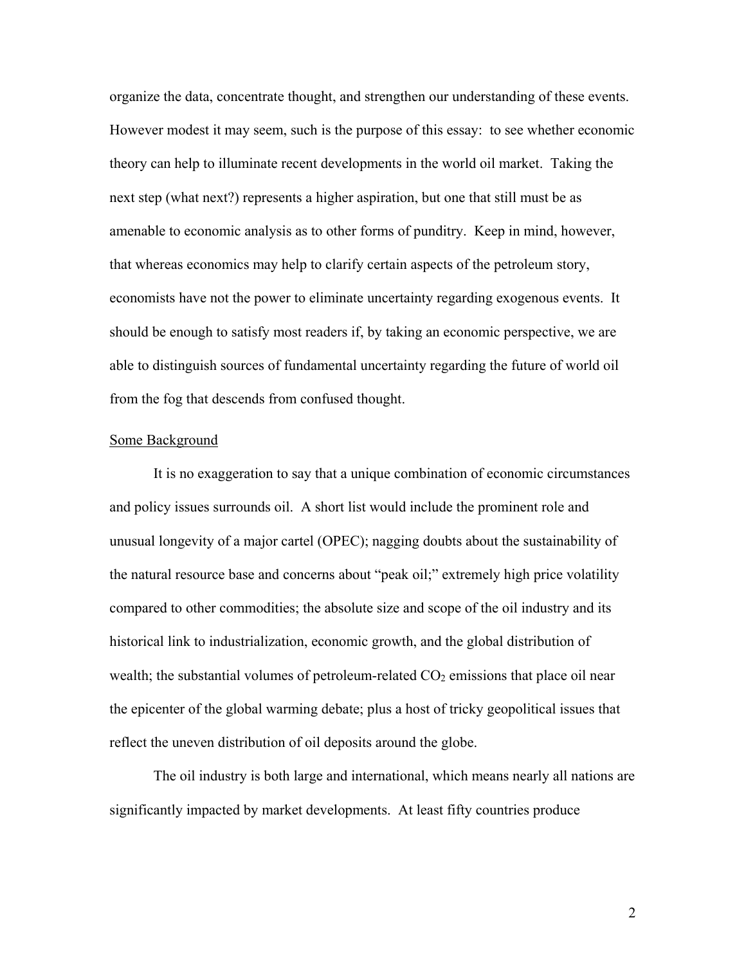organize the data, concentrate thought, and strengthen our understanding of these events. However modest it may seem, such is the purpose of this essay: to see whether economic theory can help to illuminate recent developments in the world oil market. Taking the next step (what next?) represents a higher aspiration, but one that still must be as amenable to economic analysis as to other forms of punditry. Keep in mind, however, that whereas economics may help to clarify certain aspects of the petroleum story, economists have not the power to eliminate uncertainty regarding exogenous events. It should be enough to satisfy most readers if, by taking an economic perspective, we are able to distinguish sources of fundamental uncertainty regarding the future of world oil from the fog that descends from confused thought.

### Some Background

It is no exaggeration to say that a unique combination of economic circumstances and policy issues surrounds oil. A short list would include the prominent role and unusual longevity of a major cartel (OPEC); nagging doubts about the sustainability of the natural resource base and concerns about "peak oil;" extremely high price volatility compared to other commodities; the absolute size and scope of the oil industry and its historical link to industrialization, economic growth, and the global distribution of wealth; the substantial volumes of petroleum-related  $CO<sub>2</sub>$  emissions that place oil near the epicenter of the global warming debate; plus a host of tricky geopolitical issues that reflect the uneven distribution of oil deposits around the globe.

The oil industry is both large and international, which means nearly all nations are significantly impacted by market developments. At least fifty countries produce

2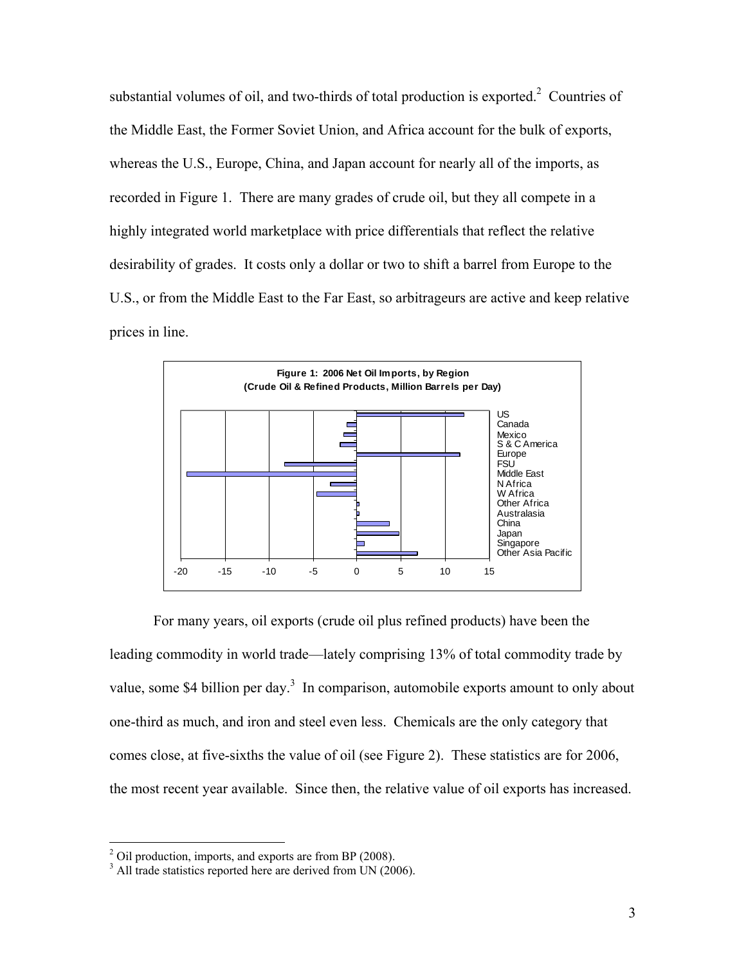substantial volumes of oil, and two-thirds of total production is exported. $2$  Countries of the Middle East, the Former Soviet Union, and Africa account for the bulk of exports, whereas the U.S., Europe, China, and Japan account for nearly all of the imports, as recorded in Figure 1. There are many grades of crude oil, but they all compete in a highly integrated world marketplace with price differentials that reflect the relative desirability of grades. It costs only a dollar or two to shift a barrel from Europe to the U.S., or from the Middle East to the Far East, so arbitrageurs are active and keep relative prices in line.



For many years, oil exports (crude oil plus refined products) have been the leading commodity in world trade—lately comprising 13% of total commodity trade by value, some \$4 billion per day.<sup>3</sup> In comparison, automobile exports amount to only about one-third as much, and iron and steel even less. Chemicals are the only category that comes close, at five-sixths the value of oil (see Figure 2). These statistics are for 2006, the most recent year available. Since then, the relative value of oil exports has increased.

1

 $2^2$  Oil production, imports, and exports are from BP (2008).

<sup>&</sup>lt;sup>3</sup> All trade statistics reported here are derived from UN (2006).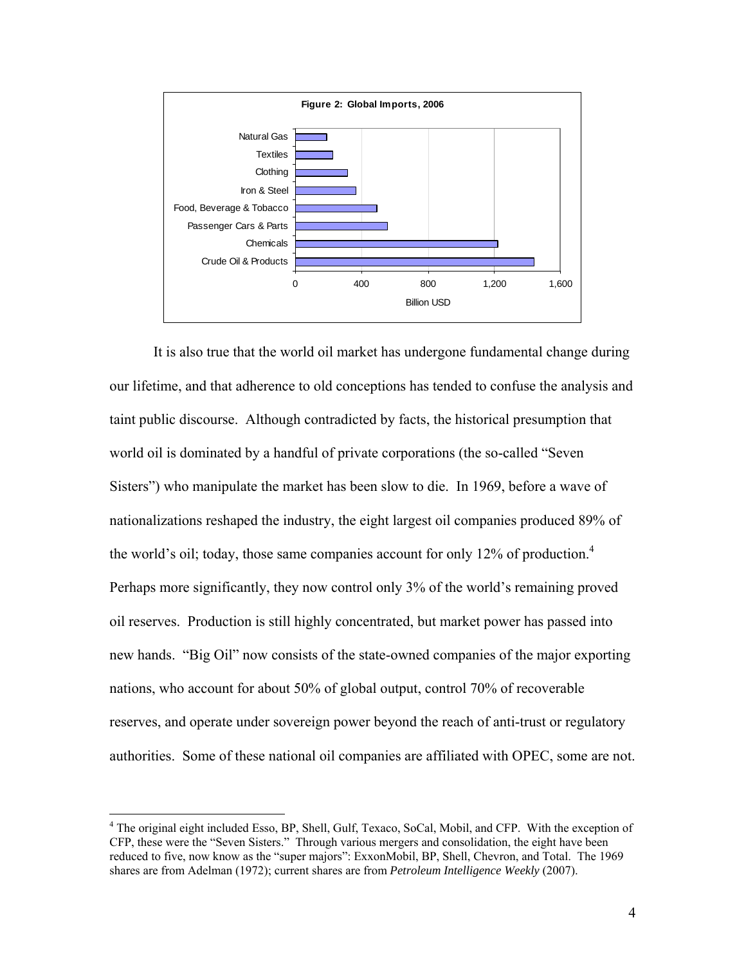

It is also true that the world oil market has undergone fundamental change during our lifetime, and that adherence to old conceptions has tended to confuse the analysis and taint public discourse. Although contradicted by facts, the historical presumption that world oil is dominated by a handful of private corporations (the so-called "Seven Sisters") who manipulate the market has been slow to die. In 1969, before a wave of nationalizations reshaped the industry, the eight largest oil companies produced 89% of the world's oil; today, those same companies account for only 12% of production.<sup>4</sup> Perhaps more significantly, they now control only 3% of the world's remaining proved oil reserves. Production is still highly concentrated, but market power has passed into new hands. "Big Oil" now consists of the state-owned companies of the major exporting nations, who account for about 50% of global output, control 70% of recoverable reserves, and operate under sovereign power beyond the reach of anti-trust or regulatory authorities. Some of these national oil companies are affiliated with OPEC, some are not.

<sup>&</sup>lt;sup>4</sup> The original eight included Esso, BP, Shell, Gulf, Texaco, SoCal, Mobil, and CFP. With the exception of CFP, these were the "Seven Sisters." Through various mergers and consolidation, the eight have been reduced to five, now know as the "super majors": ExxonMobil, BP, Shell, Chevron, and Total. The 1969 shares are from Adelman (1972); current shares are from *Petroleum Intelligence Weekly* (2007).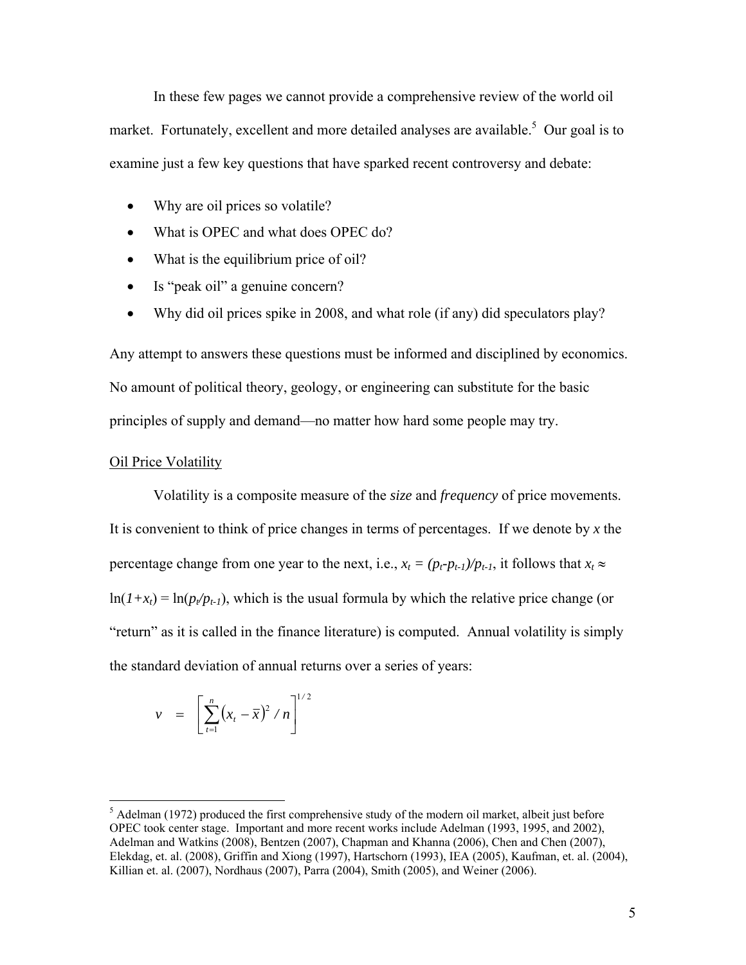In these few pages we cannot provide a comprehensive review of the world oil market. Fortunately, excellent and more detailed analyses are available.<sup>5</sup> Our goal is to examine just a few key questions that have sparked recent controversy and debate:

- Why are oil prices so volatile?
- What is OPEC and what does OPEC do?
- What is the equilibrium price of oil?
- Is "peak oil" a genuine concern?
- Why did oil prices spike in 2008, and what role (if any) did speculators play?

Any attempt to answers these questions must be informed and disciplined by economics. No amount of political theory, geology, or engineering can substitute for the basic principles of supply and demand—no matter how hard some people may try.

### Oil Price Volatility

 $\overline{a}$ 

 Volatility is a composite measure of the *size* and *frequency* of price movements. It is convenient to think of price changes in terms of percentages. If we denote by *x* the percentage change from one year to the next, i.e.,  $x_t = (p_t - p_{t-1})/p_{t-1}$ , it follows that  $x_t \approx$  $ln(1+x_t) = ln(p_t/p_{t-1})$ , which is the usual formula by which the relative price change (or "return" as it is called in the finance literature) is computed. Annual volatility is simply the standard deviation of annual returns over a series of years:

$$
v = \left[ \sum_{t=1}^{n} (x_t - \bar{x})^2 / n \right]^{1/2}
$$

 $<sup>5</sup>$  Adelman (1972) produced the first comprehensive study of the modern oil market, albeit just before</sup> OPEC took center stage. Important and more recent works include Adelman (1993, 1995, and 2002), Adelman and Watkins (2008), Bentzen (2007), Chapman and Khanna (2006), Chen and Chen (2007), Elekdag, et. al. (2008), Griffin and Xiong (1997), Hartschorn (1993), IEA (2005), Kaufman, et. al. (2004), Killian et. al. (2007), Nordhaus (2007), Parra (2004), Smith (2005), and Weiner (2006).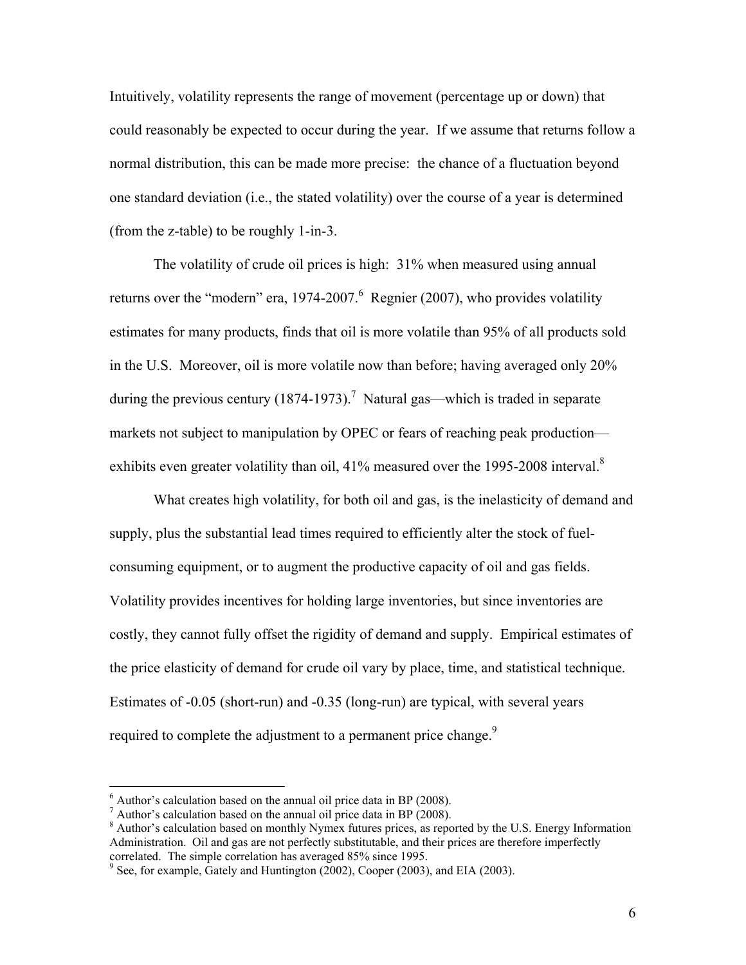Intuitively, volatility represents the range of movement (percentage up or down) that could reasonably be expected to occur during the year. If we assume that returns follow a normal distribution, this can be made more precise: the chance of a fluctuation beyond one standard deviation (i.e., the stated volatility) over the course of a year is determined (from the z-table) to be roughly 1-in-3.

 The volatility of crude oil prices is high: 31% when measured using annual returns over the "modern" era, 1974-2007. Regnier (2007), who provides volatility estimates for many products, finds that oil is more volatile than 95% of all products sold in the U.S. Moreover, oil is more volatile now than before; having averaged only 20% during the previous century  $(1874-1973)$ .<sup>7</sup> Natural gas—which is traded in separate markets not subject to manipulation by OPEC or fears of reaching peak production exhibits even greater volatility than oil, 41% measured over the 1995-2008 interval.<sup>8</sup>

 What creates high volatility, for both oil and gas, is the inelasticity of demand and supply, plus the substantial lead times required to efficiently alter the stock of fuelconsuming equipment, or to augment the productive capacity of oil and gas fields. Volatility provides incentives for holding large inventories, but since inventories are costly, they cannot fully offset the rigidity of demand and supply. Empirical estimates of the price elasticity of demand for crude oil vary by place, time, and statistical technique. Estimates of -0.05 (short-run) and -0.35 (long-run) are typical, with several years required to complete the adjustment to a permanent price change.<sup>9</sup>

 $6$  Author's calculation based on the annual oil price data in BP (2008).

 $^7$  Author's calculation based on the annual oil price data in BP (2008).

<sup>&</sup>lt;sup>8</sup> Author's calculation based on monthly Nymex futures prices, as reported by the U.S. Energy Information Administration. Oil and gas are not perfectly substitutable, and their prices are therefore imperfectly correlated. The simple correlation has averaged 85% since 1995.

 $9^9$  See, for example, Gately and Huntington (2002), Cooper (2003), and EIA (2003).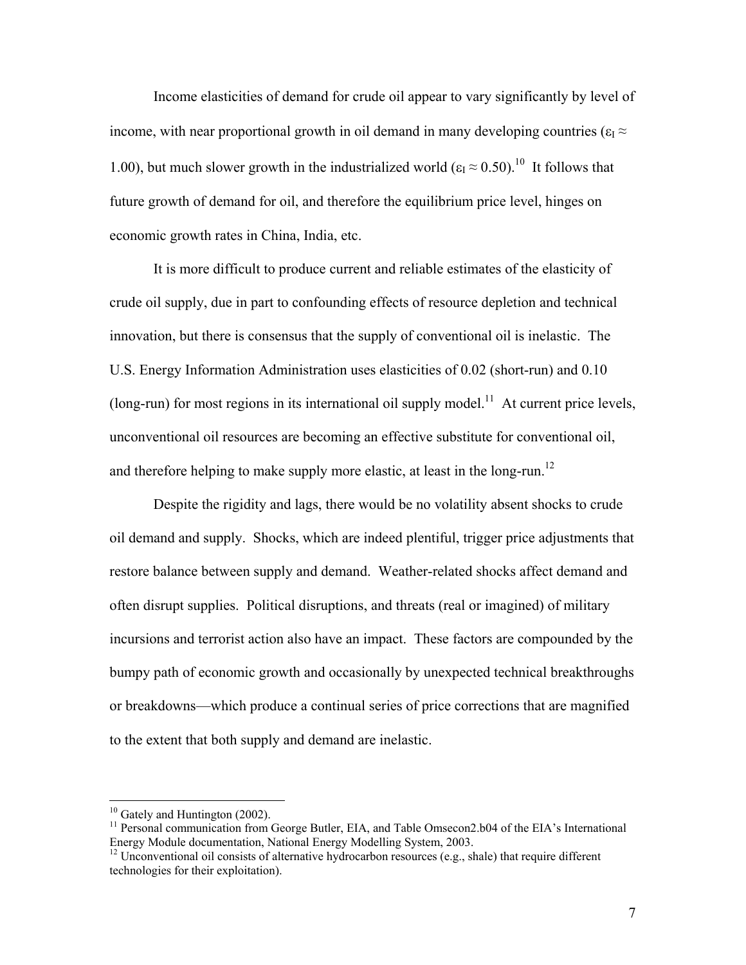Income elasticities of demand for crude oil appear to vary significantly by level of income, with near proportional growth in oil demand in many developing countries ( $\varepsilon_1 \approx$ 1.00), but much slower growth in the industrialized world ( $\epsilon_1 \approx 0.50$ ).<sup>10</sup> It follows that future growth of demand for oil, and therefore the equilibrium price level, hinges on economic growth rates in China, India, etc.

It is more difficult to produce current and reliable estimates of the elasticity of crude oil supply, due in part to confounding effects of resource depletion and technical innovation, but there is consensus that the supply of conventional oil is inelastic. The U.S. Energy Information Administration uses elasticities of 0.02 (short-run) and 0.10 (long-run) for most regions in its international oil supply model.<sup>11</sup> At current price levels, unconventional oil resources are becoming an effective substitute for conventional oil, and therefore helping to make supply more elastic, at least in the long-run.<sup>12</sup>

 Despite the rigidity and lags, there would be no volatility absent shocks to crude oil demand and supply. Shocks, which are indeed plentiful, trigger price adjustments that restore balance between supply and demand. Weather-related shocks affect demand and often disrupt supplies. Political disruptions, and threats (real or imagined) of military incursions and terrorist action also have an impact. These factors are compounded by the bumpy path of economic growth and occasionally by unexpected technical breakthroughs or breakdowns—which produce a continual series of price corrections that are magnified to the extent that both supply and demand are inelastic.

 $10$  Gately and Huntington (2002).

 $11$  Personal communication from George Butler, EIA, and Table Omsecon2.b04 of the EIA's International Energy Module documentation, National Energy Modelling System, 2003.

 $12$  Unconventional oil consists of alternative hydrocarbon resources (e.g., shale) that require different technologies for their exploitation).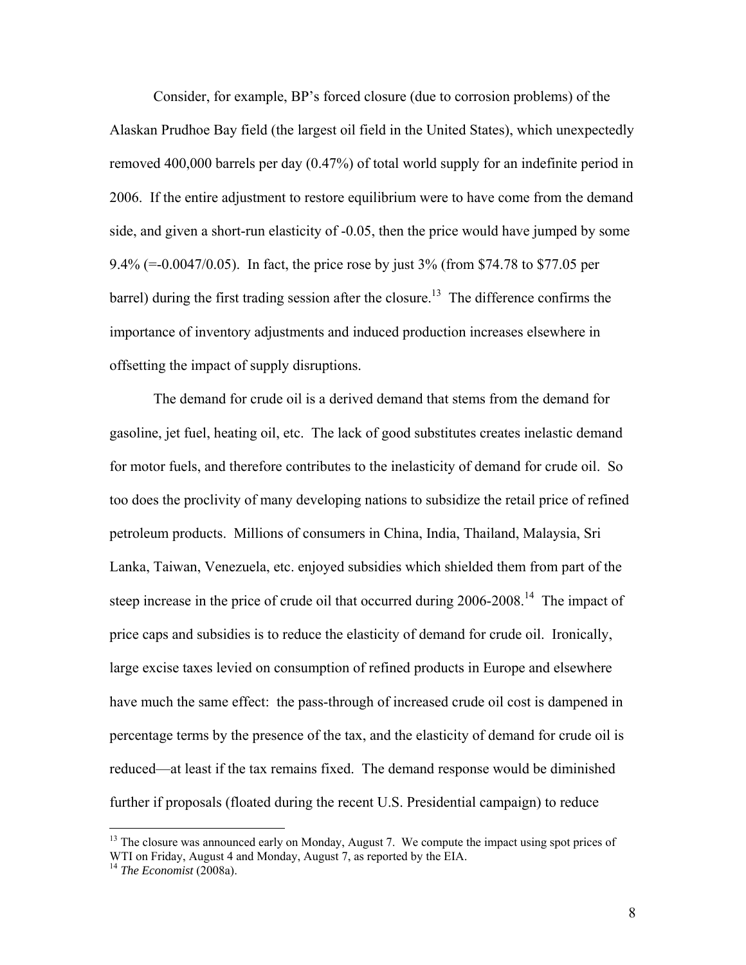Consider, for example, BP's forced closure (due to corrosion problems) of the Alaskan Prudhoe Bay field (the largest oil field in the United States), which unexpectedly removed 400,000 barrels per day (0.47%) of total world supply for an indefinite period in 2006. If the entire adjustment to restore equilibrium were to have come from the demand side, and given a short-run elasticity of -0.05, then the price would have jumped by some 9.4% (=-0.0047/0.05). In fact, the price rose by just 3% (from \$74.78 to \$77.05 per barrel) during the first trading session after the closure.<sup>13</sup> The difference confirms the importance of inventory adjustments and induced production increases elsewhere in offsetting the impact of supply disruptions.

 The demand for crude oil is a derived demand that stems from the demand for gasoline, jet fuel, heating oil, etc. The lack of good substitutes creates inelastic demand for motor fuels, and therefore contributes to the inelasticity of demand for crude oil. So too does the proclivity of many developing nations to subsidize the retail price of refined petroleum products. Millions of consumers in China, India, Thailand, Malaysia, Sri Lanka, Taiwan, Venezuela, etc. enjoyed subsidies which shielded them from part of the steep increase in the price of crude oil that occurred during 2006-2008.<sup>14</sup> The impact of price caps and subsidies is to reduce the elasticity of demand for crude oil. Ironically, large excise taxes levied on consumption of refined products in Europe and elsewhere have much the same effect: the pass-through of increased crude oil cost is dampened in percentage terms by the presence of the tax, and the elasticity of demand for crude oil is reduced—at least if the tax remains fixed. The demand response would be diminished further if proposals (floated during the recent U.S. Presidential campaign) to reduce

<sup>&</sup>lt;sup>13</sup> The closure was announced early on Monday, August 7. We compute the impact using spot prices of WTI on Friday, August 4 and Monday, August 7, as reported by the EIA.

<sup>14</sup> *The Economist* (2008a).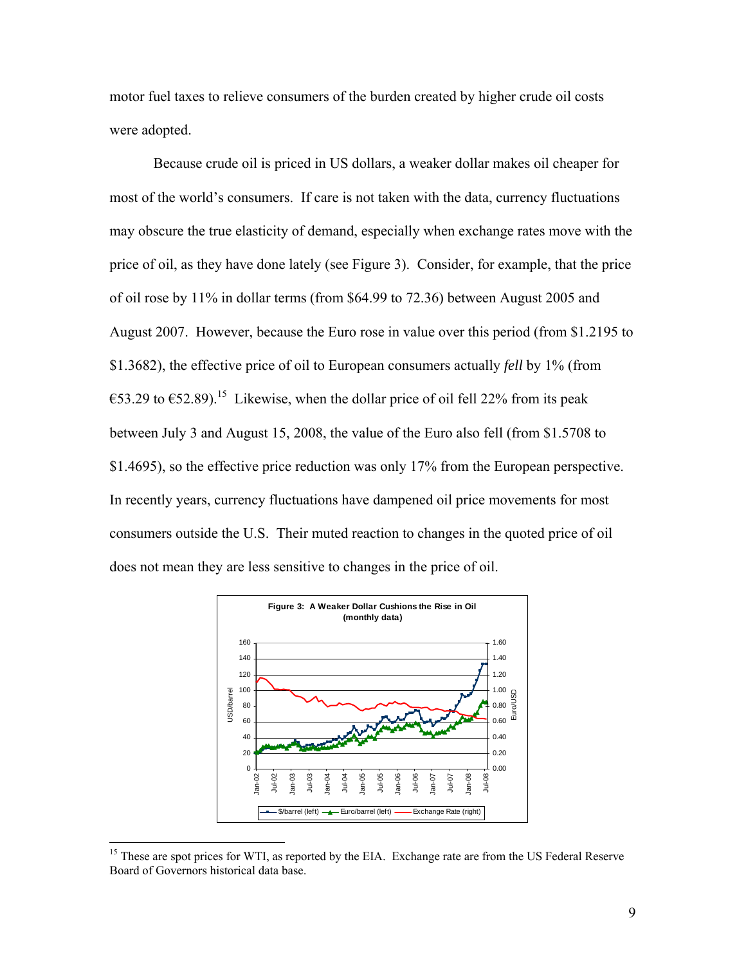motor fuel taxes to relieve consumers of the burden created by higher crude oil costs were adopted.

Because crude oil is priced in US dollars, a weaker dollar makes oil cheaper for most of the world's consumers. If care is not taken with the data, currency fluctuations may obscure the true elasticity of demand, especially when exchange rates move with the price of oil, as they have done lately (see Figure 3). Consider, for example, that the price of oil rose by 11% in dollar terms (from \$64.99 to 72.36) between August 2005 and August 2007. However, because the Euro rose in value over this period (from \$1.2195 to \$1.3682), the effective price of oil to European consumers actually *fell* by 1% (from €53.29 to €52.89).<sup>15</sup> Likewise, when the dollar price of oil fell 22% from its peak between July 3 and August 15, 2008, the value of the Euro also fell (from \$1.5708 to \$1.4695), so the effective price reduction was only 17% from the European perspective. In recently years, currency fluctuations have dampened oil price movements for most consumers outside the U.S. Their muted reaction to changes in the quoted price of oil does not mean they are less sensitive to changes in the price of oil.



<sup>&</sup>lt;sup>15</sup> These are spot prices for WTI, as reported by the EIA. Exchange rate are from the US Federal Reserve Board of Governors historical data base.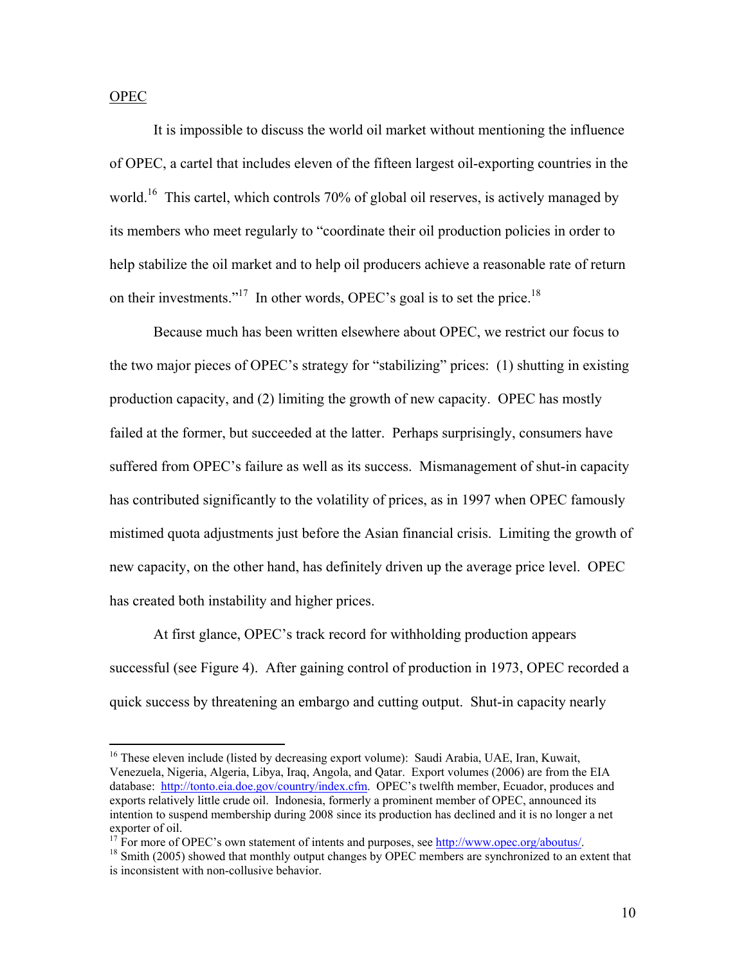OPEC

 $\overline{a}$ 

 It is impossible to discuss the world oil market without mentioning the influence of OPEC, a cartel that includes eleven of the fifteen largest oil-exporting countries in the world.<sup>16</sup> This cartel, which controls 70% of global oil reserves, is actively managed by its members who meet regularly to "coordinate their oil production policies in order to help stabilize the oil market and to help oil producers achieve a reasonable rate of return on their investments."<sup>17</sup> In other words, OPEC's goal is to set the price.<sup>18</sup>

 Because much has been written elsewhere about OPEC, we restrict our focus to the two major pieces of OPEC's strategy for "stabilizing" prices: (1) shutting in existing production capacity, and (2) limiting the growth of new capacity. OPEC has mostly failed at the former, but succeeded at the latter. Perhaps surprisingly, consumers have suffered from OPEC's failure as well as its success. Mismanagement of shut-in capacity has contributed significantly to the volatility of prices, as in 1997 when OPEC famously mistimed quota adjustments just before the Asian financial crisis. Limiting the growth of new capacity, on the other hand, has definitely driven up the average price level. OPEC has created both instability and higher prices.

 At first glance, OPEC's track record for withholding production appears successful (see Figure 4). After gaining control of production in 1973, OPEC recorded a quick success by threatening an embargo and cutting output. Shut-in capacity nearly

<sup>&</sup>lt;sup>16</sup> These eleven include (listed by decreasing export volume): Saudi Arabia, UAE, Iran, Kuwait, Venezuela, Nigeria, Algeria, Libya, Iraq, Angola, and Qatar. Export volumes (2006) are from the EIA database: http://tonto.eia.doe.gov/country/index.cfm. OPEC's twelfth member, Ecuador, produces and exports relatively little crude oil. Indonesia, formerly a prominent member of OPEC, announced its intention to suspend membership during 2008 since its production has declined and it is no longer a net exporter of oil.<br><sup>17</sup> For more of OPEC's own statement of intents and purposes, see http://www.opec.org/aboutus/.

 $18$  Smith (2005) showed that monthly output changes by OPEC members are synchronized to an extent that is inconsistent with non-collusive behavior.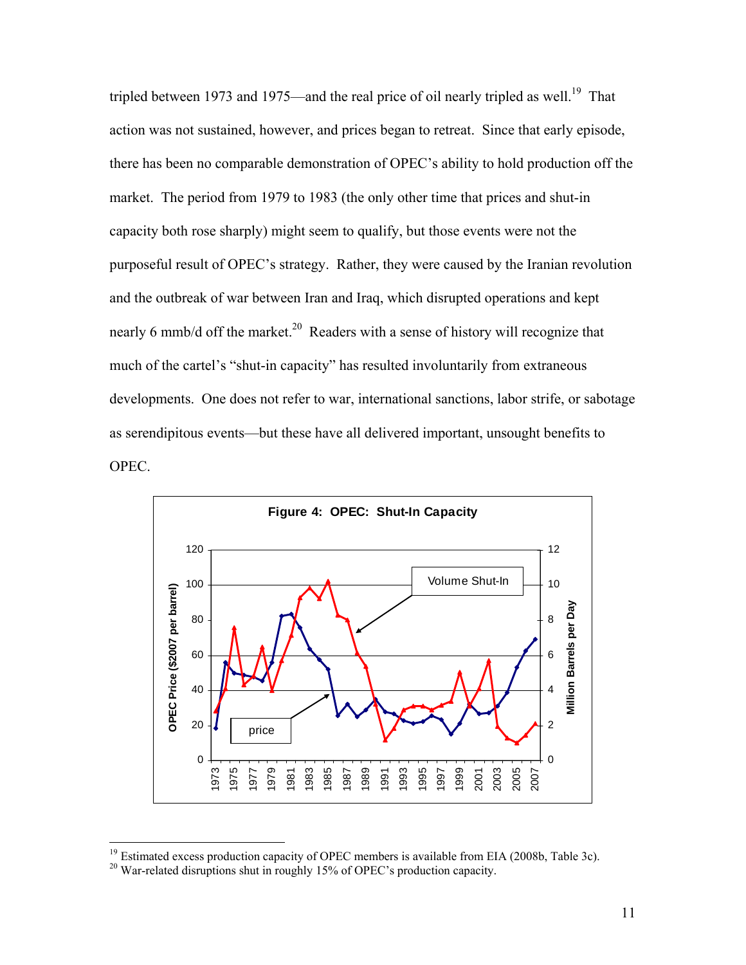tripled between 1973 and 1975—and the real price of oil nearly tripled as well.<sup>19</sup> That action was not sustained, however, and prices began to retreat. Since that early episode, there has been no comparable demonstration of OPEC's ability to hold production off the market. The period from 1979 to 1983 (the only other time that prices and shut-in capacity both rose sharply) might seem to qualify, but those events were not the purposeful result of OPEC's strategy. Rather, they were caused by the Iranian revolution and the outbreak of war between Iran and Iraq, which disrupted operations and kept nearly 6 mmb/d off the market.<sup>20</sup> Readers with a sense of history will recognize that much of the cartel's "shut-in capacity" has resulted involuntarily from extraneous developments. One does not refer to war, international sanctions, labor strife, or sabotage as serendipitous events—but these have all delivered important, unsought benefits to OPEC.



<sup>&</sup>lt;sup>19</sup> Estimated excess production capacity of OPEC members is available from EIA (2008b, Table 3c).<br><sup>20</sup> War-related disruptions shut in roughly 15% of OPEC's production capacity.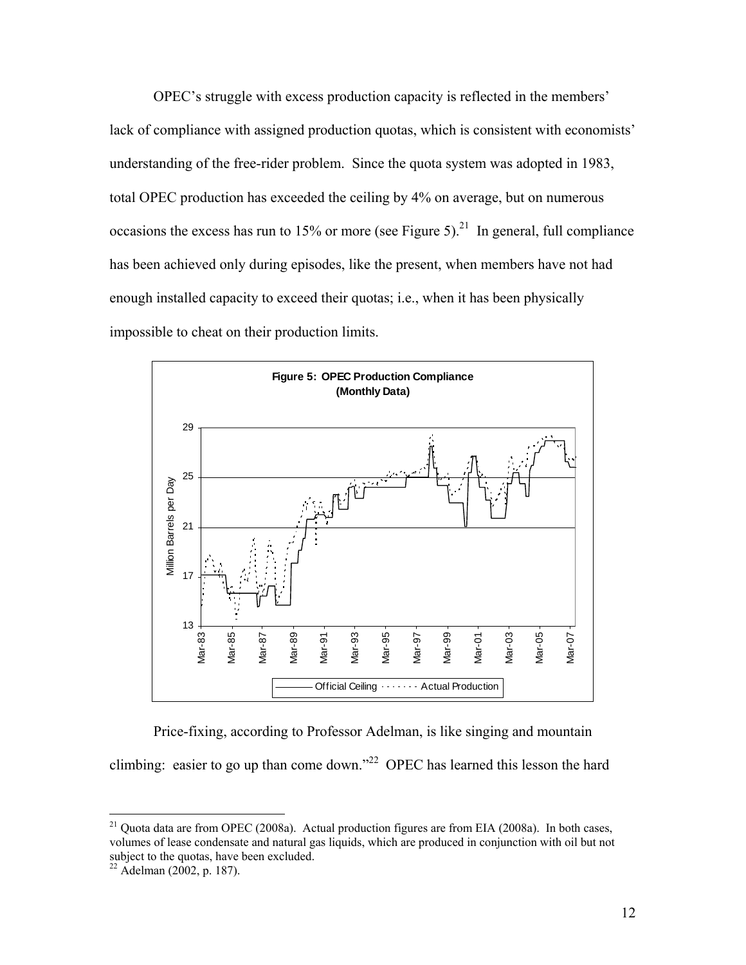OPEC's struggle with excess production capacity is reflected in the members' lack of compliance with assigned production quotas, which is consistent with economists' understanding of the free-rider problem. Since the quota system was adopted in 1983, total OPEC production has exceeded the ceiling by 4% on average, but on numerous occasions the excess has run to 15% or more (see Figure 5).<sup>21</sup> In general, full compliance has been achieved only during episodes, like the present, when members have not had enough installed capacity to exceed their quotas; i.e., when it has been physically impossible to cheat on their production limits.



 Price-fixing, according to Professor Adelman, is like singing and mountain climbing: easier to go up than come down."<sup>22</sup> OPEC has learned this lesson the hard

<u>.</u>

<sup>&</sup>lt;sup>21</sup> Quota data are from OPEC (2008a). Actual production figures are from EIA (2008a). In both cases, volumes of lease condensate and natural gas liquids, which are produced in conjunction with oil but not subject to the quotas, have been excluded.

 $22$  Adelman (2002, p. 187).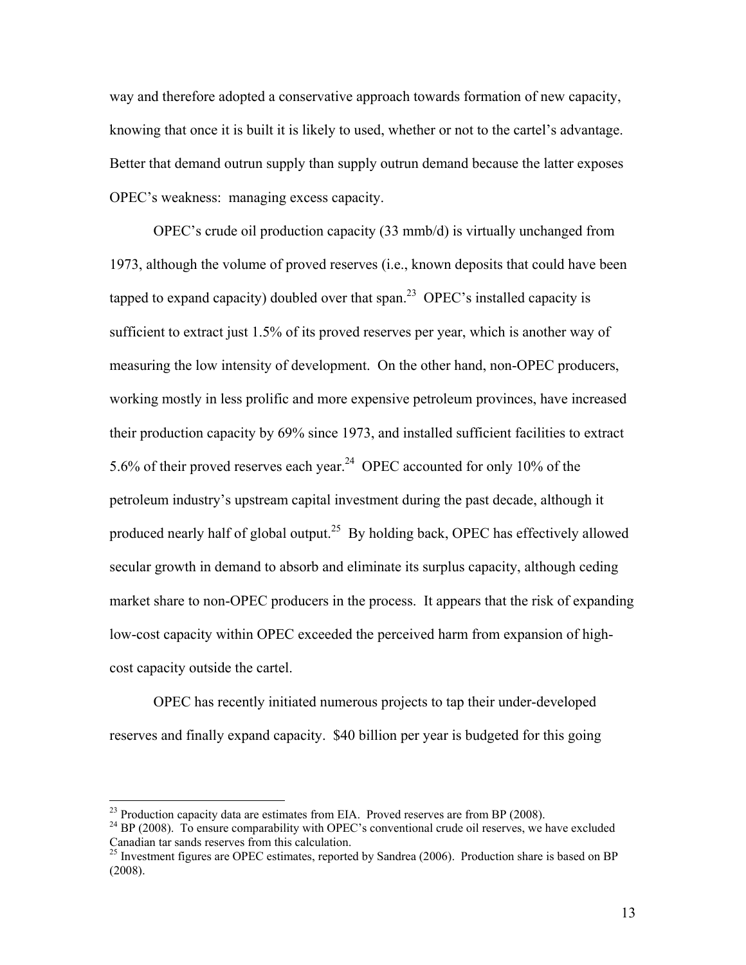way and therefore adopted a conservative approach towards formation of new capacity, knowing that once it is built it is likely to used, whether or not to the cartel's advantage. Better that demand outrun supply than supply outrun demand because the latter exposes OPEC's weakness: managing excess capacity.

 OPEC's crude oil production capacity (33 mmb/d) is virtually unchanged from 1973, although the volume of proved reserves (i.e., known deposits that could have been tapped to expand capacity) doubled over that span.<sup>23</sup> OPEC's installed capacity is sufficient to extract just 1.5% of its proved reserves per year, which is another way of measuring the low intensity of development. On the other hand, non-OPEC producers, working mostly in less prolific and more expensive petroleum provinces, have increased their production capacity by 69% since 1973, and installed sufficient facilities to extract 5.6% of their proved reserves each year.24 OPEC accounted for only 10% of the petroleum industry's upstream capital investment during the past decade, although it produced nearly half of global output.<sup>25</sup> By holding back, OPEC has effectively allowed secular growth in demand to absorb and eliminate its surplus capacity, although ceding market share to non-OPEC producers in the process. It appears that the risk of expanding low-cost capacity within OPEC exceeded the perceived harm from expansion of highcost capacity outside the cartel.

 OPEC has recently initiated numerous projects to tap their under-developed reserves and finally expand capacity. \$40 billion per year is budgeted for this going

<sup>&</sup>lt;sup>23</sup> Production capacity data are estimates from EIA. Proved reserves are from BP (2008).

 $24$  BP (2008). To ensure comparability with OPEC's conventional crude oil reserves, we have excluded Canadian tar sands reserves from this calculation.

<sup>&</sup>lt;sup>25</sup> Investment figures are OPEC estimates, reported by Sandrea (2006). Production share is based on BP (2008).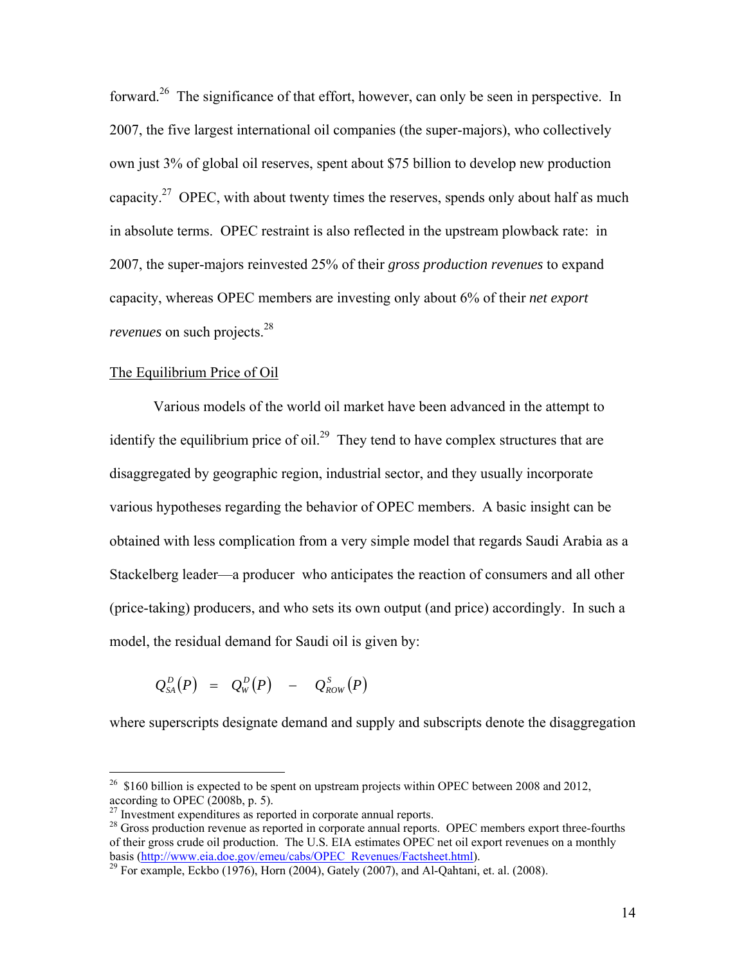forward.<sup>26</sup> The significance of that effort, however, can only be seen in perspective. In 2007, the five largest international oil companies (the super-majors), who collectively own just 3% of global oil reserves, spent about \$75 billion to develop new production capacity.<sup>27</sup> OPEC, with about twenty times the reserves, spends only about half as much in absolute terms. OPEC restraint is also reflected in the upstream plowback rate: in 2007, the super-majors reinvested 25% of their *gross production revenues* to expand capacity, whereas OPEC members are investing only about 6% of their *net export revenues* on such projects.<sup>28</sup>

## The Equilibrium Price of Oil

 $\overline{a}$ 

Various models of the world oil market have been advanced in the attempt to identify the equilibrium price of oil.<sup>29</sup> They tend to have complex structures that are disaggregated by geographic region, industrial sector, and they usually incorporate various hypotheses regarding the behavior of OPEC members. A basic insight can be obtained with less complication from a very simple model that regards Saudi Arabia as a Stackelberg leader—a producer who anticipates the reaction of consumers and all other (price-taking) producers, and who sets its own output (and price) accordingly. In such a model, the residual demand for Saudi oil is given by:

$$
Q_{SA}^D(P) = Q_W^D(P) - Q_{Row}^S(P)
$$

where superscripts designate demand and supply and subscripts denote the disaggregation

 $26\,$  \$160 billion is expected to be spent on upstream projects within OPEC between 2008 and 2012, according to OPEC (2008b, p. 5).

 $27$  Investment expenditures as reported in corporate annual reports.

<sup>&</sup>lt;sup>28</sup> Gross production revenue as reported in corporate annual reports. OPEC members export three-fourths of their gross crude oil production. The U.S. EIA estimates OPEC net oil export revenues on a monthly basis (http://www.eia.doe.gov/emeu/cabs/OPEC\_Revenues/Factsheet.html).<br><sup>29</sup> For example, Eckbo (1976), Horn (2004), Gately (2007), and Al-Qahtani, et. al. (2008).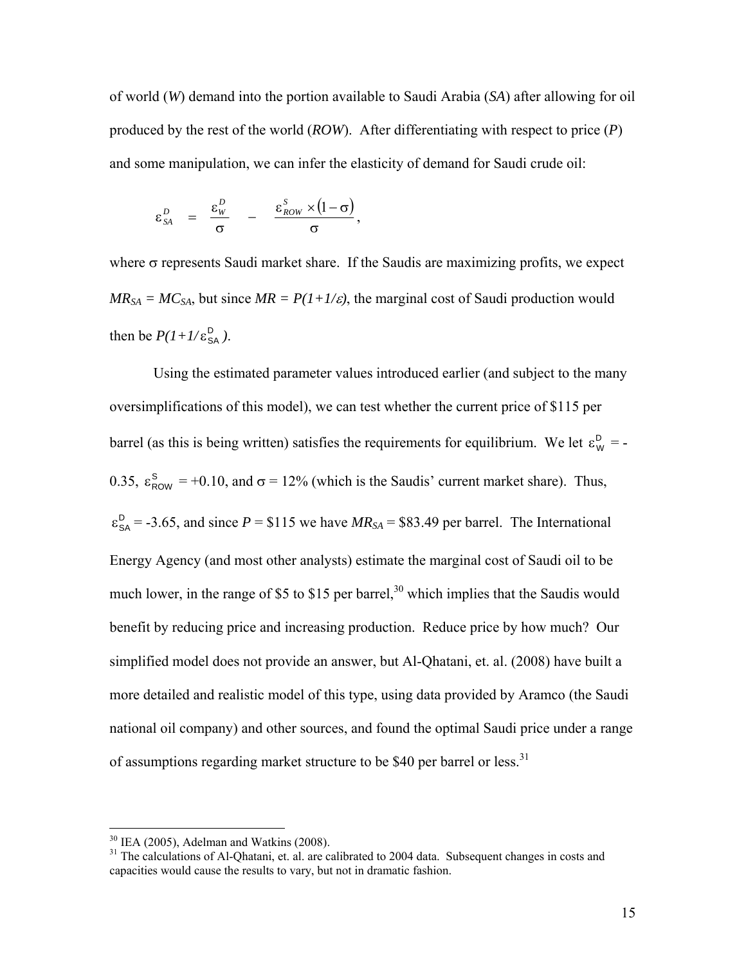of world (*W*) demand into the portion available to Saudi Arabia (*SA*) after allowing for oil produced by the rest of the world (*ROW*). After differentiating with respect to price (*P*) and some manipulation, we can infer the elasticity of demand for Saudi crude oil:

$$
\varepsilon_{SA}^D = \frac{\varepsilon_w^D}{\sigma} - \frac{\varepsilon_{Row}^S \times (1-\sigma)}{\sigma},
$$

where  $\sigma$  represents Saudi market share. If the Saudis are maximizing profits, we expect  $MR_{SA} = MC_{SA}$ , but since  $MR = P(1+1/\varepsilon)$ , the marginal cost of Saudi production would then be  $P(1+1/\varepsilon_{\text{SA}}^{\text{D}})$ .

Using the estimated parameter values introduced earlier (and subject to the many oversimplifications of this model), we can test whether the current price of \$115 per barrel (as this is being written) satisfies the requirements for equilibrium. We let  $\varepsilon_{w}^{D}$  = -0.35,  $\varepsilon_{\text{Row}}^s$  = +0.10, and  $\sigma$  = 12% (which is the Saudis' current market share). Thus,  $\varepsilon_{SA}^D$  = -3.65, and since *P* = \$115 we have *MR<sub>SA</sub>* = \$83.49 per barrel. The International Energy Agency (and most other analysts) estimate the marginal cost of Saudi oil to be much lower, in the range of \$5 to \$15 per barrel,<sup>30</sup> which implies that the Saudis would benefit by reducing price and increasing production. Reduce price by how much? Our simplified model does not provide an answer, but Al-Qhatani, et. al. (2008) have built a more detailed and realistic model of this type, using data provided by Aramco (the Saudi national oil company) and other sources, and found the optimal Saudi price under a range of assumptions regarding market structure to be \$40 per barrel or less.<sup>31</sup>

1

 $30$  IEA (2005), Adelman and Watkins (2008).

<sup>&</sup>lt;sup>31</sup> The calculations of Al-Qhatani, et. al. are calibrated to 2004 data. Subsequent changes in costs and capacities would cause the results to vary, but not in dramatic fashion.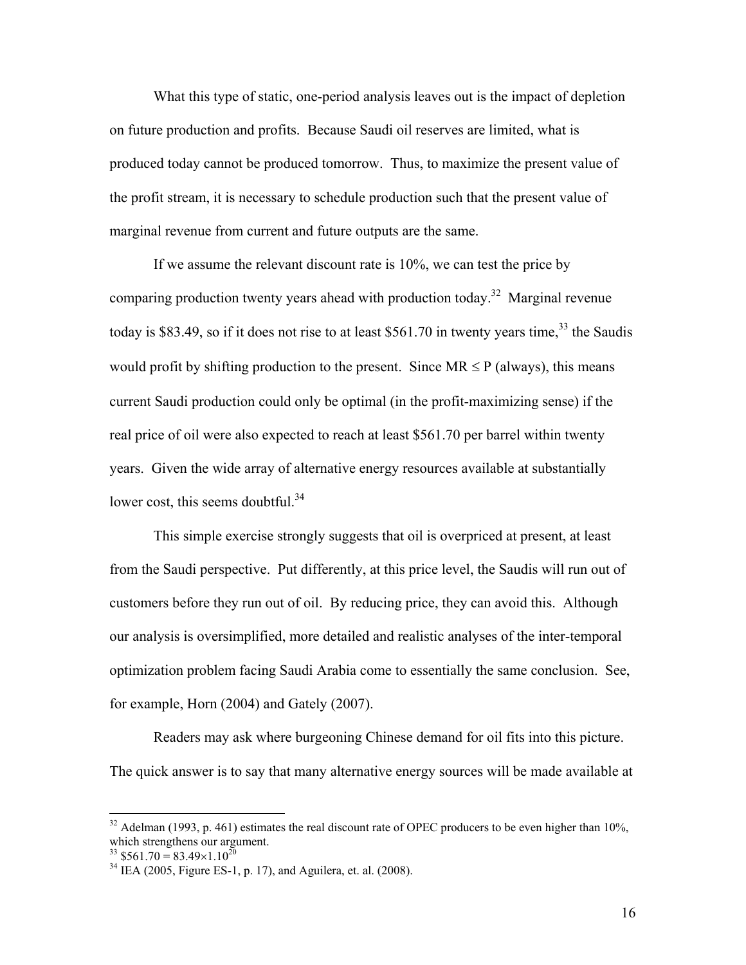What this type of static, one-period analysis leaves out is the impact of depletion on future production and profits. Because Saudi oil reserves are limited, what is produced today cannot be produced tomorrow. Thus, to maximize the present value of the profit stream, it is necessary to schedule production such that the present value of marginal revenue from current and future outputs are the same.

If we assume the relevant discount rate is 10%, we can test the price by comparing production twenty years ahead with production today.<sup>32</sup> Marginal revenue today is \$83.49, so if it does not rise to at least \$561.70 in twenty years time,  $33$  the Saudis would profit by shifting production to the present. Since  $MR \leq P$  (always), this means current Saudi production could only be optimal (in the profit-maximizing sense) if the real price of oil were also expected to reach at least \$561.70 per barrel within twenty years. Given the wide array of alternative energy resources available at substantially lower cost, this seems doubtful.<sup>34</sup>

This simple exercise strongly suggests that oil is overpriced at present, at least from the Saudi perspective. Put differently, at this price level, the Saudis will run out of customers before they run out of oil. By reducing price, they can avoid this. Although our analysis is oversimplified, more detailed and realistic analyses of the inter-temporal optimization problem facing Saudi Arabia come to essentially the same conclusion. See, for example, Horn (2004) and Gately (2007).

Readers may ask where burgeoning Chinese demand for oil fits into this picture. The quick answer is to say that many alternative energy sources will be made available at

 $32$  Adelman (1993, p. 461) estimates the real discount rate of OPEC producers to be even higher than 10%, which strengthens our argument.

 $33$  \$561.70 = 83.49×1.10<sup>20</sup>

 $34$  IEA (2005, Figure ES-1, p. 17), and Aguilera, et. al. (2008).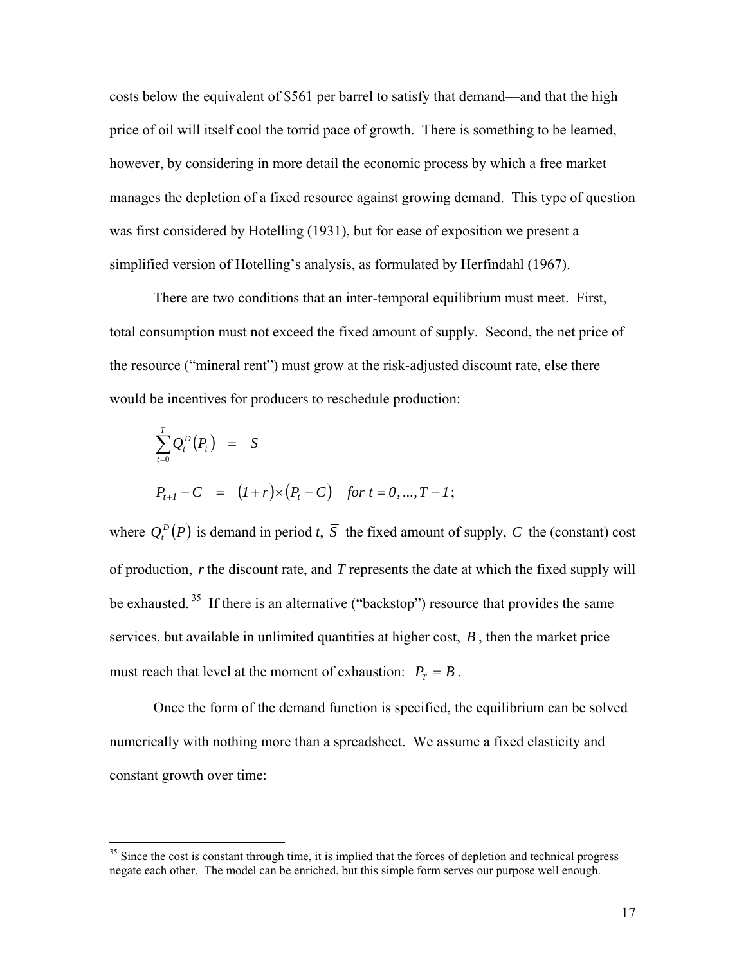costs below the equivalent of \$561 per barrel to satisfy that demand—and that the high price of oil will itself cool the torrid pace of growth. There is something to be learned, however, by considering in more detail the economic process by which a free market manages the depletion of a fixed resource against growing demand. This type of question was first considered by Hotelling (1931), but for ease of exposition we present a simplified version of Hotelling's analysis, as formulated by Herfindahl (1967).

There are two conditions that an inter-temporal equilibrium must meet. First, total consumption must not exceed the fixed amount of supply. Second, the net price of the resource ("mineral rent") must grow at the risk-adjusted discount rate, else there would be incentives for producers to reschedule production:

$$
\sum_{t=0}^{T} Q_t^D(P_t) = \overline{S}
$$
  
\n
$$
P_{t+1} - C = (I+r) \times (P_t - C) \text{ for } t = 0, ..., T - 1;
$$

where  $Q_t^D(P)$  is demand in period *t*,  $\overline{S}$  the fixed amount of supply, *C* the (constant) cost of production, *r* the discount rate, and *T* represents the date at which the fixed supply will be exhausted.<sup>35</sup> If there is an alternative ("backstop") resource that provides the same services, but available in unlimited quantities at higher cost, *B* , then the market price must reach that level at the moment of exhaustion:  $P_T = B$ .

Once the form of the demand function is specified, the equilibrium can be solved numerically with nothing more than a spreadsheet. We assume a fixed elasticity and constant growth over time:

<sup>&</sup>lt;sup>35</sup> Since the cost is constant through time, it is implied that the forces of depletion and technical progress negate each other. The model can be enriched, but this simple form serves our purpose well enough.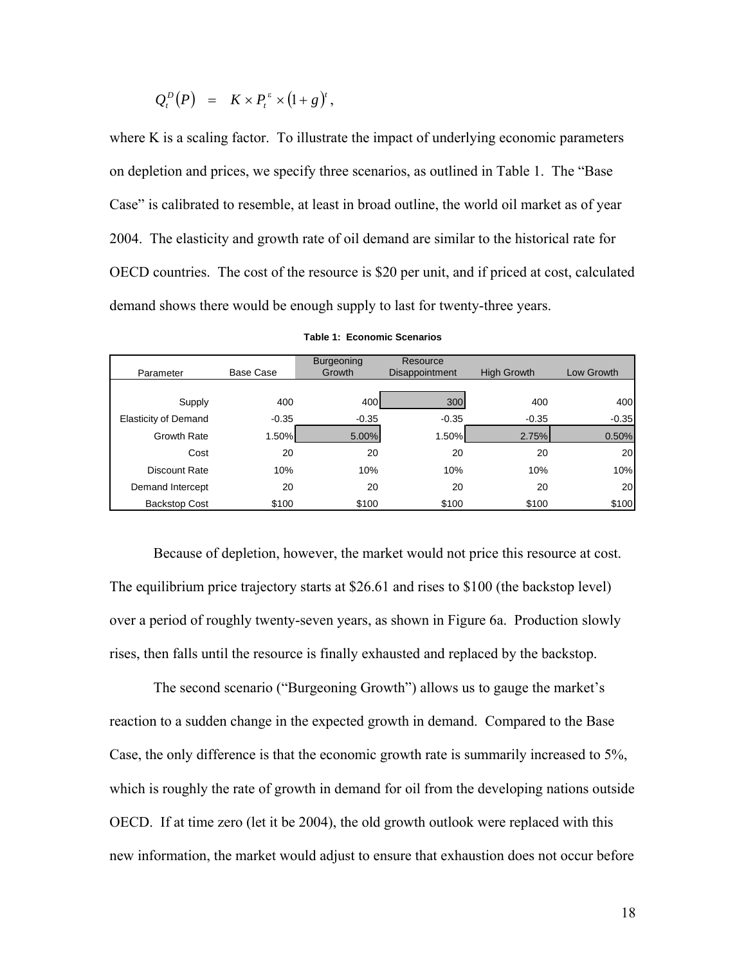$$
Q_t^D(P) = K \times P_t^{\varepsilon} \times (1+g)^t,
$$

where K is a scaling factor. To illustrate the impact of underlying economic parameters on depletion and prices, we specify three scenarios, as outlined in Table 1. The "Base Case" is calibrated to resemble, at least in broad outline, the world oil market as of year 2004. The elasticity and growth rate of oil demand are similar to the historical rate for OECD countries. The cost of the resource is \$20 per unit, and if priced at cost, calculated demand shows there would be enough supply to last for twenty-three years.

|                             |           | <b>Burgeoning</b> | Resource       |                    |            |
|-----------------------------|-----------|-------------------|----------------|--------------------|------------|
| Parameter                   | Base Case | Growth            | Disappointment | <b>High Growth</b> | Low Growth |
|                             |           |                   |                |                    |            |
| Supply                      | 400       | 400               | 300            | 400                | 400        |
| <b>Elasticity of Demand</b> | $-0.35$   | $-0.35$           | $-0.35$        | $-0.35$            | $-0.35$    |
| <b>Growth Rate</b>          | 1.50%     | 5.00%             | 1.50%          | 2.75%              | 0.50%      |
| Cost                        | 20        | 20                | 20             | 20                 | 20         |
| Discount Rate               | 10%       | 10%               | 10%            | 10%                | 10%        |
| Demand Intercept            | 20        | 20                | 20             | 20                 | 20         |
| <b>Backstop Cost</b>        | \$100     | \$100             | \$100          | \$100              | \$100      |

|  | <b>Table 1: Economic Scenarios</b> |  |
|--|------------------------------------|--|
|  |                                    |  |

Because of depletion, however, the market would not price this resource at cost. The equilibrium price trajectory starts at \$26.61 and rises to \$100 (the backstop level) over a period of roughly twenty-seven years, as shown in Figure 6a. Production slowly rises, then falls until the resource is finally exhausted and replaced by the backstop.

The second scenario ("Burgeoning Growth") allows us to gauge the market's reaction to a sudden change in the expected growth in demand. Compared to the Base Case, the only difference is that the economic growth rate is summarily increased to 5%, which is roughly the rate of growth in demand for oil from the developing nations outside OECD. If at time zero (let it be 2004), the old growth outlook were replaced with this new information, the market would adjust to ensure that exhaustion does not occur before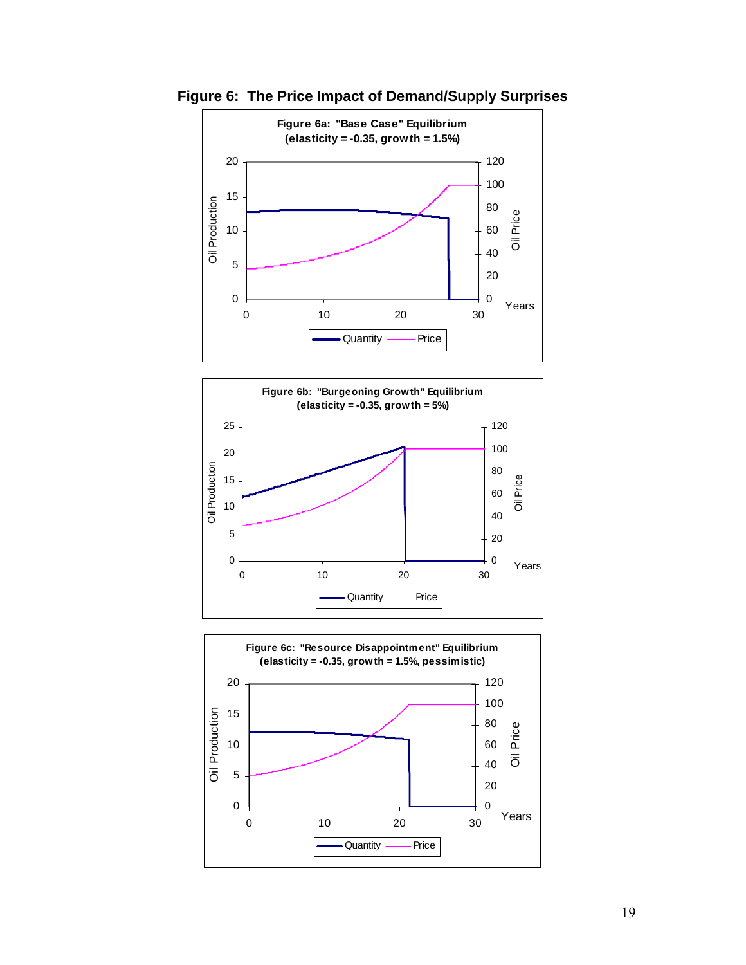

**Figure 6: The Price Impact of Demand/Supply Surprises** 



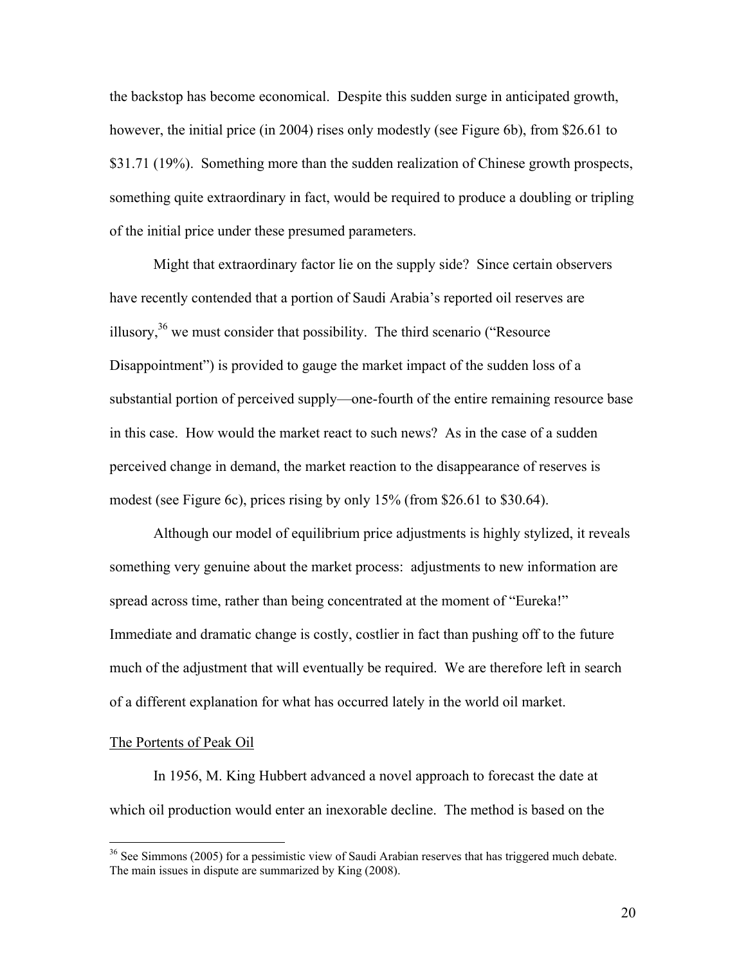the backstop has become economical. Despite this sudden surge in anticipated growth, however, the initial price (in 2004) rises only modestly (see Figure 6b), from \$26.61 to \$31.71 (19%). Something more than the sudden realization of Chinese growth prospects, something quite extraordinary in fact, would be required to produce a doubling or tripling of the initial price under these presumed parameters.

Might that extraordinary factor lie on the supply side? Since certain observers have recently contended that a portion of Saudi Arabia's reported oil reserves are illusory,  $36$  we must consider that possibility. The third scenario ("Resource" Disappointment") is provided to gauge the market impact of the sudden loss of a substantial portion of perceived supply—one-fourth of the entire remaining resource base in this case. How would the market react to such news? As in the case of a sudden perceived change in demand, the market reaction to the disappearance of reserves is modest (see Figure 6c), prices rising by only 15% (from \$26.61 to \$30.64).

Although our model of equilibrium price adjustments is highly stylized, it reveals something very genuine about the market process: adjustments to new information are spread across time, rather than being concentrated at the moment of "Eureka!" Immediate and dramatic change is costly, costlier in fact than pushing off to the future much of the adjustment that will eventually be required. We are therefore left in search of a different explanation for what has occurred lately in the world oil market.

#### The Portents of Peak Oil

 $\overline{a}$ 

 In 1956, M. King Hubbert advanced a novel approach to forecast the date at which oil production would enter an inexorable decline. The method is based on the

 $36$  See Simmons (2005) for a pessimistic view of Saudi Arabian reserves that has triggered much debate. The main issues in dispute are summarized by King (2008).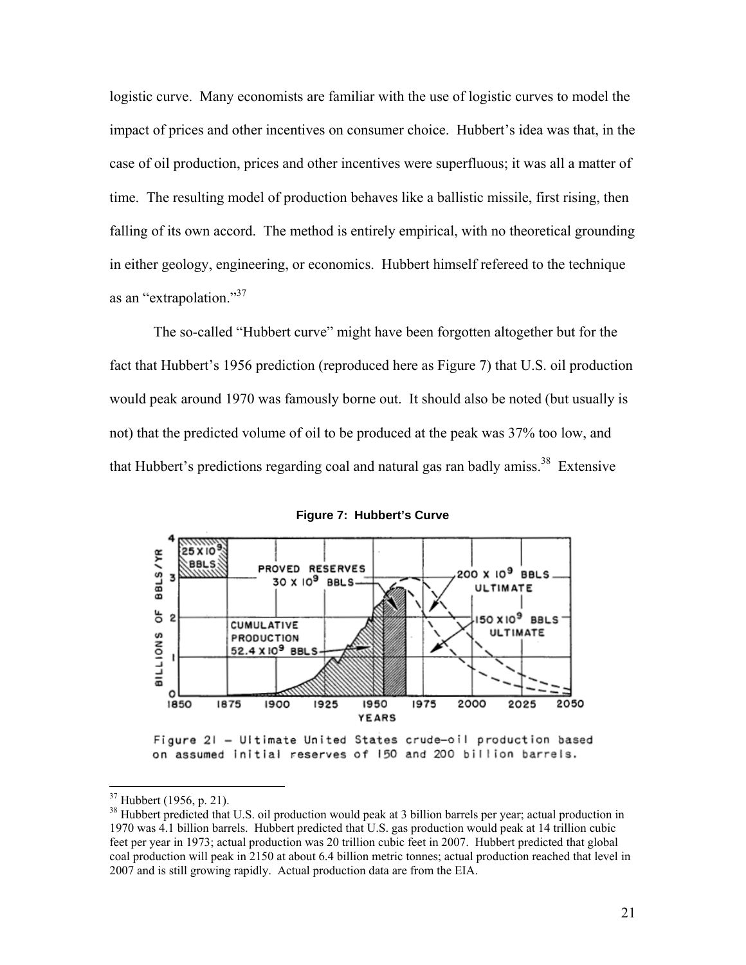logistic curve. Many economists are familiar with the use of logistic curves to model the impact of prices and other incentives on consumer choice. Hubbert's idea was that, in the case of oil production, prices and other incentives were superfluous; it was all a matter of time. The resulting model of production behaves like a ballistic missile, first rising, then falling of its own accord. The method is entirely empirical, with no theoretical grounding in either geology, engineering, or economics. Hubbert himself refereed to the technique as an "extrapolation."<sup>37</sup>

The so-called "Hubbert curve" might have been forgotten altogether but for the fact that Hubbert's 1956 prediction (reproduced here as Figure 7) that U.S. oil production would peak around 1970 was famously borne out. It should also be noted (but usually is not) that the predicted volume of oil to be produced at the peak was 37% too low, and that Hubbert's predictions regarding coal and natural gas ran badly amiss.<sup>38</sup> Extensive



**Figure 7: Hubbert's Curve** 

1

 $37$  Hubbert (1956, p. 21).

<sup>&</sup>lt;sup>38</sup> Hubbert predicted that U.S. oil production would peak at 3 billion barrels per year; actual production in 1970 was 4.1 billion barrels. Hubbert predicted that U.S. gas production would peak at 14 trillion cubic feet per year in 1973; actual production was 20 trillion cubic feet in 2007. Hubbert predicted that global coal production will peak in 2150 at about 6.4 billion metric tonnes; actual production reached that level in 2007 and is still growing rapidly. Actual production data are from the EIA.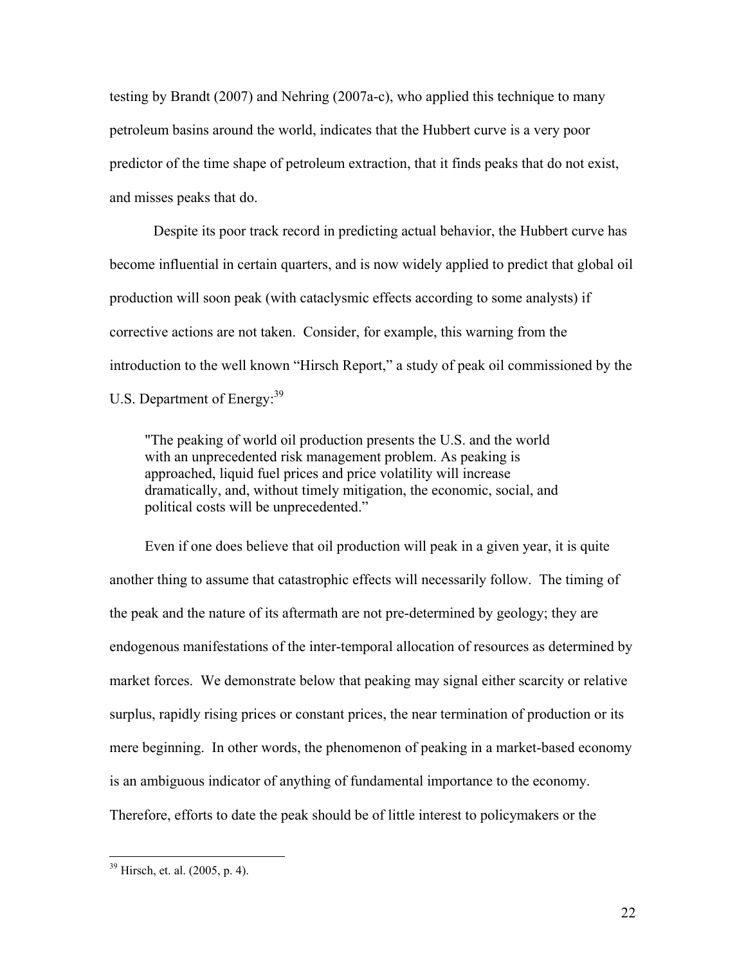testing by Brandt (2007) and Nehring (2007a-c), who applied this technique to many petroleum basins around the world, indicates that the Hubbert curve is a very poor predictor of the time shape of petroleum extraction, that it finds peaks that do not exist, and misses peaks that do.

Despite its poor track record in predicting actual behavior, the Hubbert curve has become influential in certain quarters, and is now widely applied to predict that global oil production will soon peak (with cataclysmic effects according to some analysts) if corrective actions are not taken. Consider, for example, this warning from the introduction to the well known "Hirsch Report," a study of peak oil commissioned by the U.S. Department of Energy:<sup>39</sup>

"The peaking of world oil production presents the U.S. and the world with an unprecedented risk management problem. As peaking is approached, liquid fuel prices and price volatility will increase dramatically, and, without timely mitigation, the economic, social, and political costs will be unprecedented."

Even if one does believe that oil production will peak in a given year, it is quite another thing to assume that catastrophic effects will necessarily follow. The timing of the peak and the nature of its aftermath are not pre-determined by geology; they are endogenous manifestations of the inter-temporal allocation of resources as determined by market forces. We demonstrate below that peaking may signal either scarcity or relative surplus, rapidly rising prices or constant prices, the near termination of production or its mere beginning. In other words, the phenomenon of peaking in a market-based economy is an ambiguous indicator of anything of fundamental importance to the economy. Therefore, efforts to date the peak should be of little interest to policymakers or the

<sup>39</sup> Hirsch, et. al. (2005, p. 4).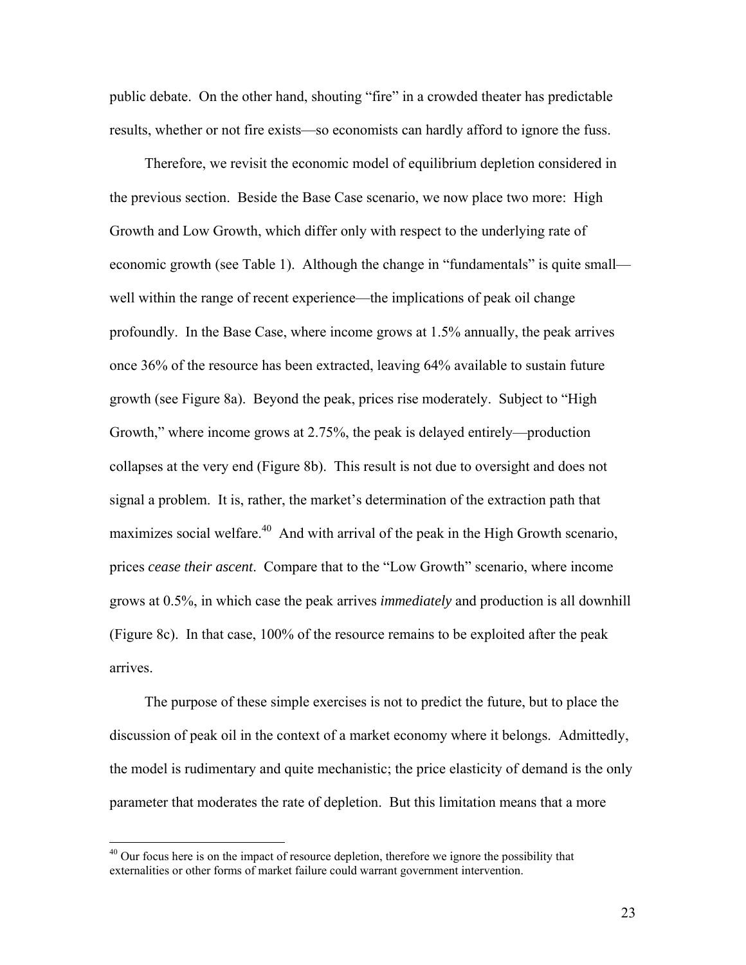public debate. On the other hand, shouting "fire" in a crowded theater has predictable results, whether or not fire exists—so economists can hardly afford to ignore the fuss.

Therefore, we revisit the economic model of equilibrium depletion considered in the previous section. Beside the Base Case scenario, we now place two more: High Growth and Low Growth, which differ only with respect to the underlying rate of economic growth (see Table 1). Although the change in "fundamentals" is quite small well within the range of recent experience—the implications of peak oil change profoundly. In the Base Case, where income grows at 1.5% annually, the peak arrives once 36% of the resource has been extracted, leaving 64% available to sustain future growth (see Figure 8a). Beyond the peak, prices rise moderately. Subject to "High Growth," where income grows at 2.75%, the peak is delayed entirely—production collapses at the very end (Figure 8b). This result is not due to oversight and does not signal a problem. It is, rather, the market's determination of the extraction path that maximizes social welfare.<sup>40</sup> And with arrival of the peak in the High Growth scenario, prices *cease their ascent*. Compare that to the "Low Growth" scenario, where income grows at 0.5%, in which case the peak arrives *immediately* and production is all downhill (Figure 8c). In that case, 100% of the resource remains to be exploited after the peak arrives.

The purpose of these simple exercises is not to predict the future, but to place the discussion of peak oil in the context of a market economy where it belongs. Admittedly, the model is rudimentary and quite mechanistic; the price elasticity of demand is the only parameter that moderates the rate of depletion. But this limitation means that a more

 $40$  Our focus here is on the impact of resource depletion, therefore we ignore the possibility that externalities or other forms of market failure could warrant government intervention.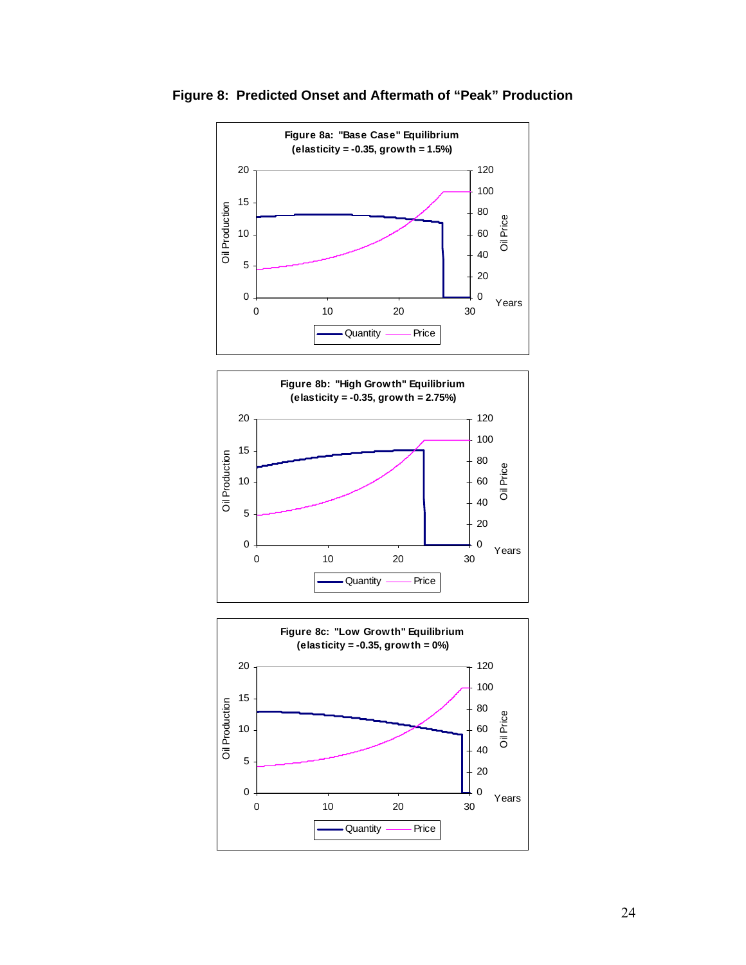

**Figure 8: Predicted Onset and Aftermath of "Peak" Production** 



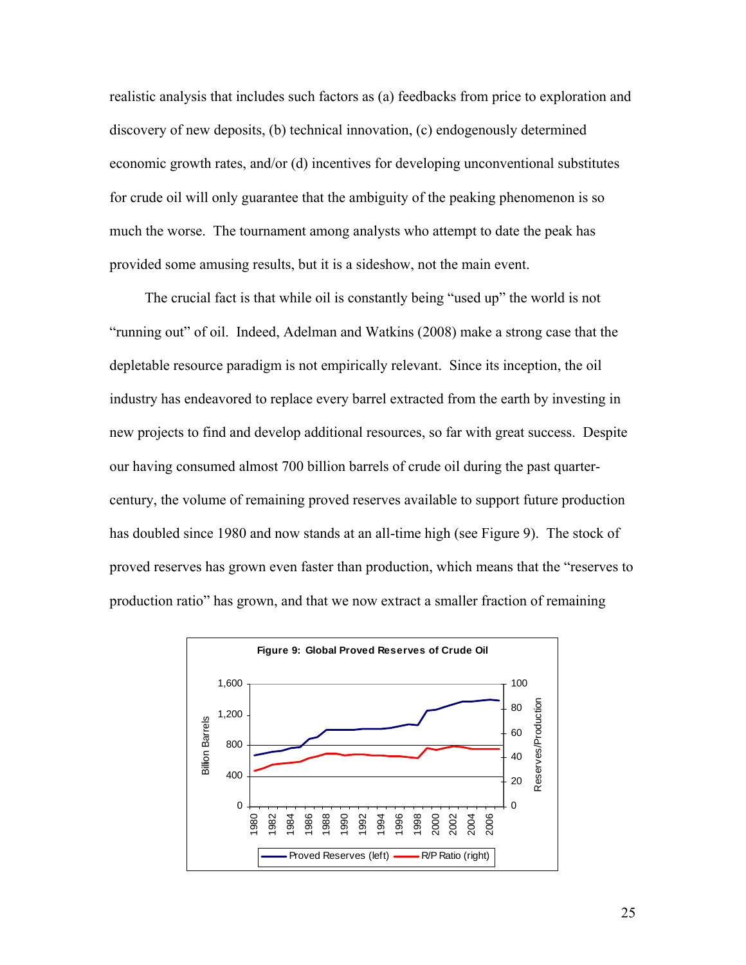realistic analysis that includes such factors as (a) feedbacks from price to exploration and discovery of new deposits, (b) technical innovation, (c) endogenously determined economic growth rates, and/or (d) incentives for developing unconventional substitutes for crude oil will only guarantee that the ambiguity of the peaking phenomenon is so much the worse. The tournament among analysts who attempt to date the peak has provided some amusing results, but it is a sideshow, not the main event.

The crucial fact is that while oil is constantly being "used up" the world is not "running out" of oil. Indeed, Adelman and Watkins (2008) make a strong case that the depletable resource paradigm is not empirically relevant. Since its inception, the oil industry has endeavored to replace every barrel extracted from the earth by investing in new projects to find and develop additional resources, so far with great success. Despite our having consumed almost 700 billion barrels of crude oil during the past quartercentury, the volume of remaining proved reserves available to support future production has doubled since 1980 and now stands at an all-time high (see Figure 9). The stock of proved reserves has grown even faster than production, which means that the "reserves to production ratio" has grown, and that we now extract a smaller fraction of remaining

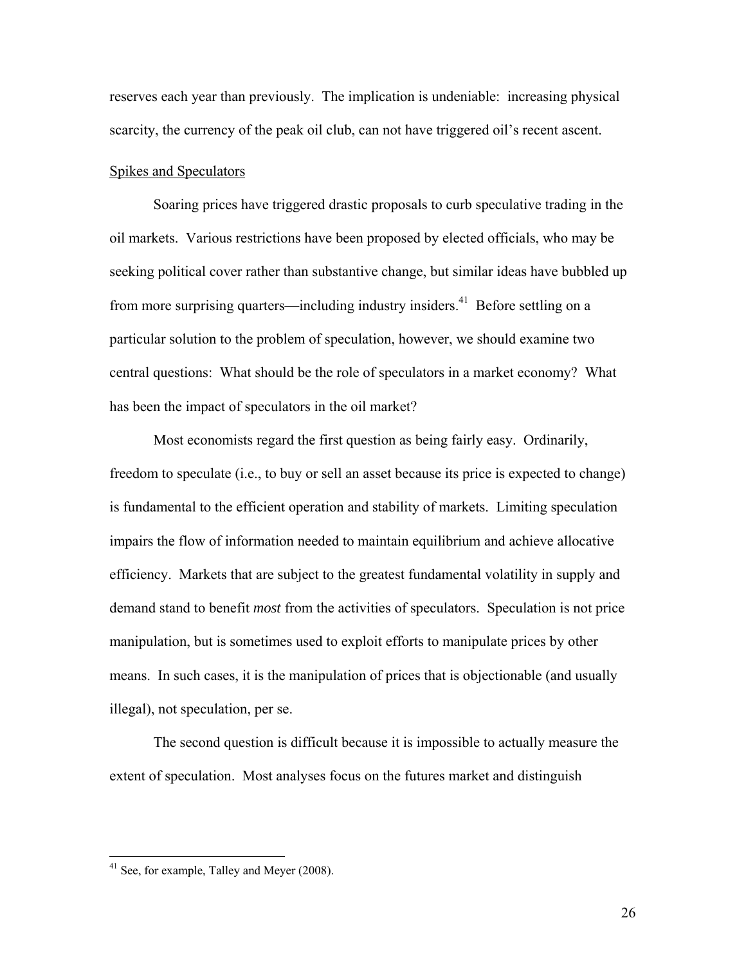reserves each year than previously. The implication is undeniable: increasing physical scarcity, the currency of the peak oil club, can not have triggered oil's recent ascent.

## Spikes and Speculators

 Soaring prices have triggered drastic proposals to curb speculative trading in the oil markets. Various restrictions have been proposed by elected officials, who may be seeking political cover rather than substantive change, but similar ideas have bubbled up from more surprising quarters—including industry insiders.<sup>41</sup> Before settling on a particular solution to the problem of speculation, however, we should examine two central questions: What should be the role of speculators in a market economy? What has been the impact of speculators in the oil market?

 Most economists regard the first question as being fairly easy. Ordinarily, freedom to speculate (i.e., to buy or sell an asset because its price is expected to change) is fundamental to the efficient operation and stability of markets. Limiting speculation impairs the flow of information needed to maintain equilibrium and achieve allocative efficiency. Markets that are subject to the greatest fundamental volatility in supply and demand stand to benefit *most* from the activities of speculators. Speculation is not price manipulation, but is sometimes used to exploit efforts to manipulate prices by other means. In such cases, it is the manipulation of prices that is objectionable (and usually illegal), not speculation, per se.

The second question is difficult because it is impossible to actually measure the extent of speculation. Most analyses focus on the futures market and distinguish

<u>.</u>

 $41$  See, for example, Talley and Meyer (2008).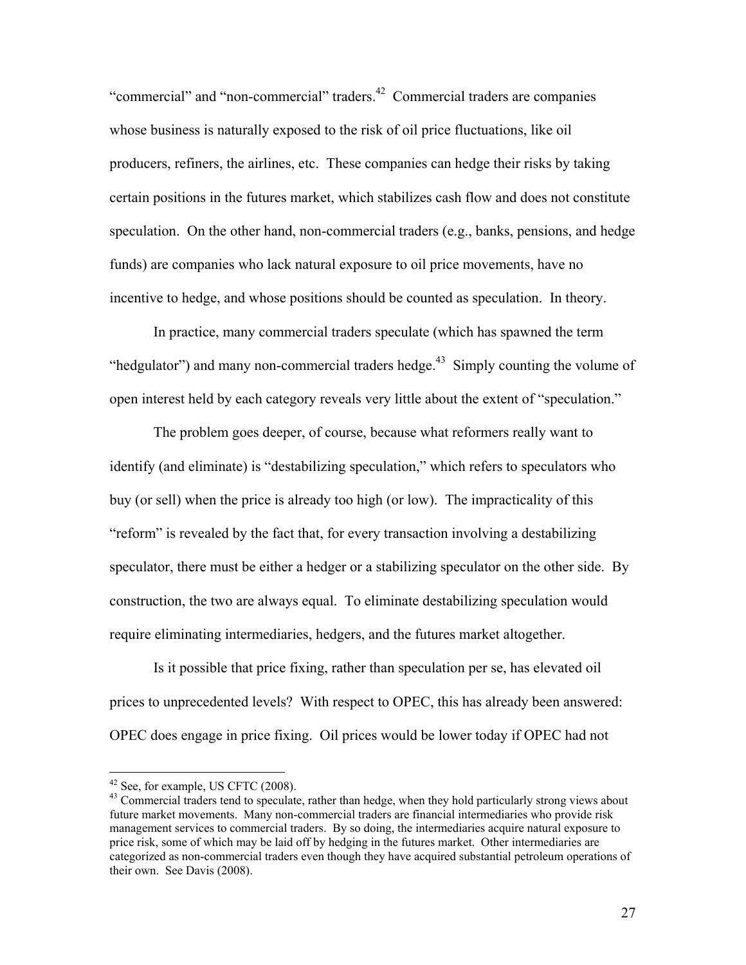"commercial" and "non-commercial" traders.<sup>42</sup> Commercial traders are companies whose business is naturally exposed to the risk of oil price fluctuations, like oil producers, refiners, the airlines, etc. These companies can hedge their risks by taking certain positions in the futures market, which stabilizes cash flow and does not constitute speculation. On the other hand, non-commercial traders (e.g., banks, pensions, and hedge funds) are companies who lack natural exposure to oil price movements, have no incentive to hedge, and whose positions should be counted as speculation. In theory.

In practice, many commercial traders speculate (which has spawned the term "hedgulator") and many non-commercial traders hedge.<sup>43</sup> Simply counting the volume of open interest held by each category reveals very little about the extent of "speculation."

The problem goes deeper, of course, because what reformers really want to identify (and eliminate) is "destabilizing speculation," which refers to speculators who buy (or sell) when the price is already too high (or low). The impracticality of this "reform" is revealed by the fact that, for every transaction involving a destabilizing speculator, there must be either a hedger or a stabilizing speculator on the other side. By construction, the two are always equal. To eliminate destabilizing speculation would require eliminating intermediaries, hedgers, and the futures market altogether.

Is it possible that price fixing, rather than speculation per se, has elevated oil prices to unprecedented levels? With respect to OPEC, this has already been answered: OPEC does engage in price fixing. Oil prices would be lower today if OPEC had not

 $42$  See, for example, US CFTC (2008).

<sup>&</sup>lt;sup>43</sup> Commercial traders tend to speculate, rather than hedge, when they hold particularly strong views about future market movements. Many non-commercial traders are financial intermediaries who provide risk management services to commercial traders. By so doing, the intermediaries acquire natural exposure to price risk, some of which may be laid off by hedging in the futures market. Other intermediaries are categorized as non-commercial traders even though they have acquired substantial petroleum operations of their own. See Davis (2008).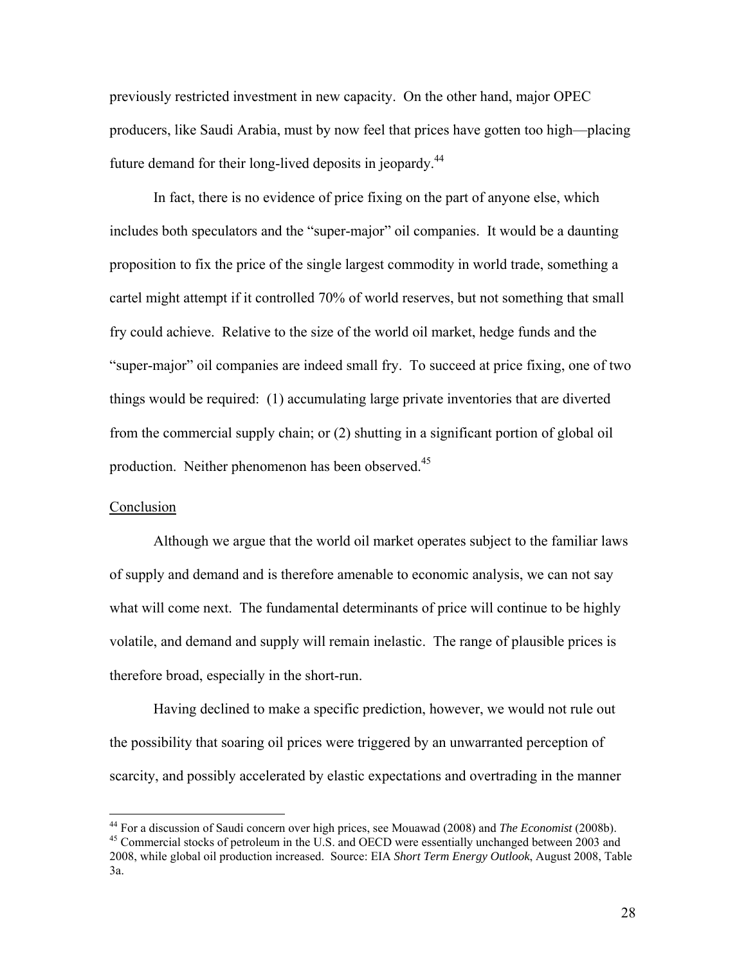previously restricted investment in new capacity. On the other hand, major OPEC producers, like Saudi Arabia, must by now feel that prices have gotten too high—placing future demand for their long-lived deposits in jeopardy.44

In fact, there is no evidence of price fixing on the part of anyone else, which includes both speculators and the "super-major" oil companies. It would be a daunting proposition to fix the price of the single largest commodity in world trade, something a cartel might attempt if it controlled 70% of world reserves, but not something that small fry could achieve. Relative to the size of the world oil market, hedge funds and the "super-major" oil companies are indeed small fry. To succeed at price fixing, one of two things would be required: (1) accumulating large private inventories that are diverted from the commercial supply chain; or (2) shutting in a significant portion of global oil production. Neither phenomenon has been observed.<sup>45</sup>

## Conclusion

 Although we argue that the world oil market operates subject to the familiar laws of supply and demand and is therefore amenable to economic analysis, we can not say what will come next. The fundamental determinants of price will continue to be highly volatile, and demand and supply will remain inelastic. The range of plausible prices is therefore broad, especially in the short-run.

Having declined to make a specific prediction, however, we would not rule out the possibility that soaring oil prices were triggered by an unwarranted perception of scarcity, and possibly accelerated by elastic expectations and overtrading in the manner

<sup>&</sup>lt;sup>44</sup> For a discussion of Saudi concern over high prices, see Mouawad (2008) and *The Economist* (2008b).

<sup>&</sup>lt;sup>45</sup> Commercial stocks of petroleum in the U.S. and OECD were essentially unchanged between 2003 and 2008, while global oil production increased. Source: EIA *Short Term Energy Outlook*, August 2008, Table 3a.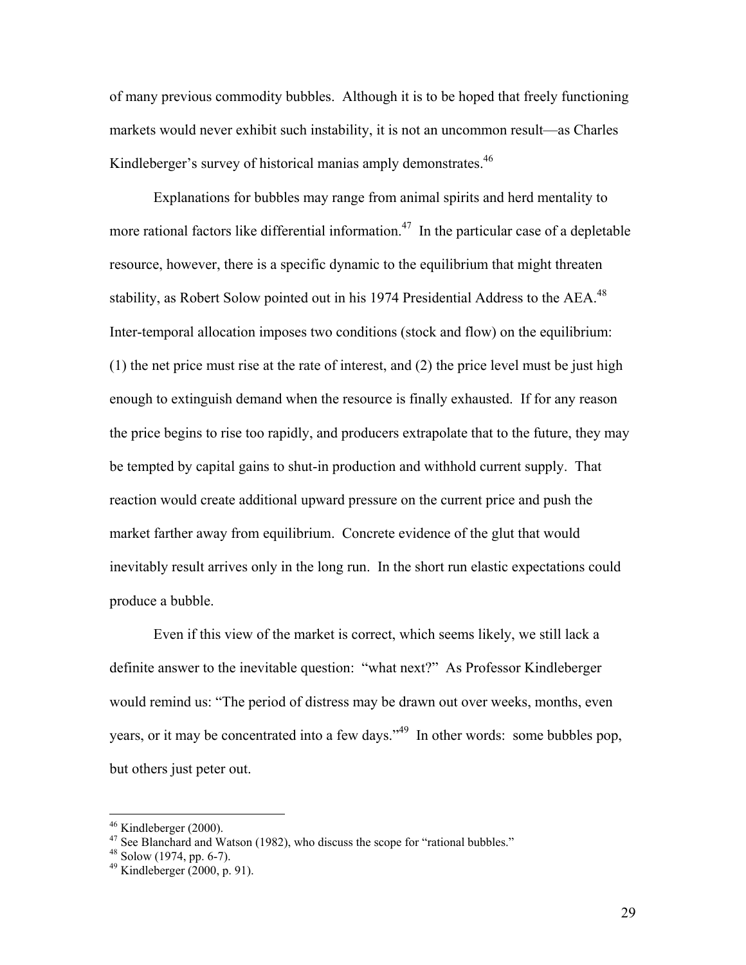of many previous commodity bubbles. Although it is to be hoped that freely functioning markets would never exhibit such instability, it is not an uncommon result—as Charles Kindleberger's survey of historical manias amply demonstrates.<sup>46</sup>

Explanations for bubbles may range from animal spirits and herd mentality to more rational factors like differential information.<sup>47</sup> In the particular case of a depletable resource, however, there is a specific dynamic to the equilibrium that might threaten stability, as Robert Solow pointed out in his 1974 Presidential Address to the AEA.<sup>48</sup> Inter-temporal allocation imposes two conditions (stock and flow) on the equilibrium: (1) the net price must rise at the rate of interest, and (2) the price level must be just high enough to extinguish demand when the resource is finally exhausted. If for any reason the price begins to rise too rapidly, and producers extrapolate that to the future, they may be tempted by capital gains to shut-in production and withhold current supply. That reaction would create additional upward pressure on the current price and push the market farther away from equilibrium. Concrete evidence of the glut that would inevitably result arrives only in the long run. In the short run elastic expectations could produce a bubble.

Even if this view of the market is correct, which seems likely, we still lack a definite answer to the inevitable question: "what next?" As Professor Kindleberger would remind us: "The period of distress may be drawn out over weeks, months, even years, or it may be concentrated into a few days."49 In other words: some bubbles pop, but others just peter out.

 $46$  Kindleberger (2000).

<sup>&</sup>lt;sup>47</sup> See Blanchard and Watson (1982), who discuss the scope for "rational bubbles." Solow (1974, pp. 6-7).

<sup>&</sup>lt;sup>48</sup> Solow (1974, pp. 6-7).<br><sup>49</sup> Kindleberger (2000, p. 91).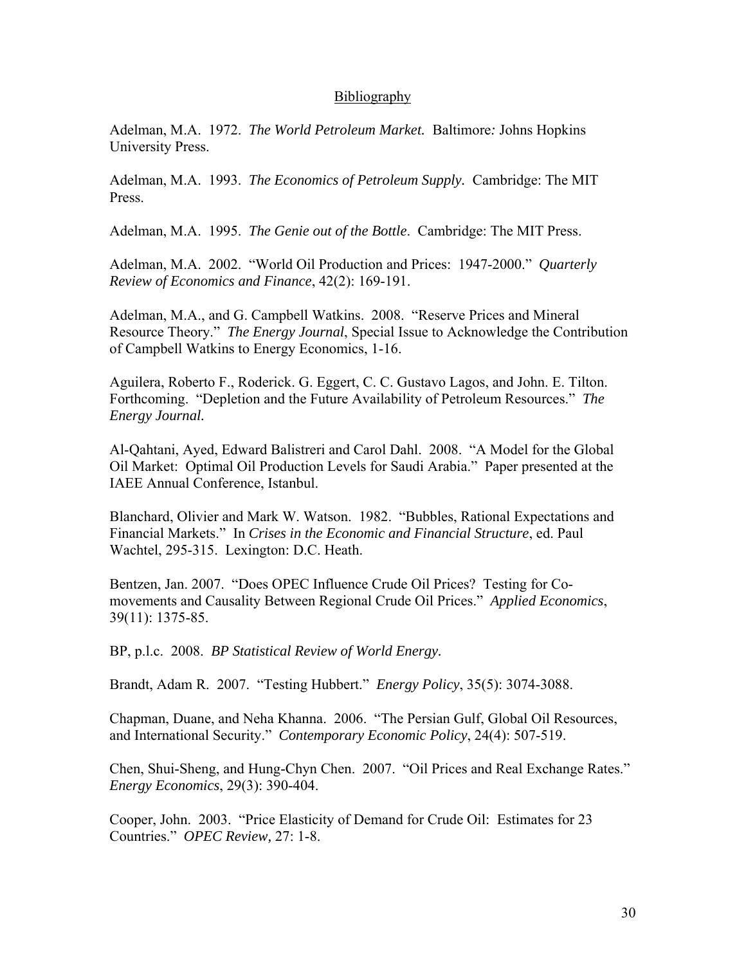## **Bibliography**

Adelman, M.A. 1972. *The World Petroleum Market.* Baltimore*:* Johns Hopkins University Press.

Adelman, M.A. 1993. *The Economics of Petroleum Supply.* Cambridge: The MIT Press.

Adelman, M.A. 1995. *The Genie out of the Bottle*. Cambridge: The MIT Press.

Adelman, M.A. 2002. "World Oil Production and Prices: 1947-2000." *Quarterly Review of Economics and Finance*, 42(2): 169-191.

Adelman, M.A., and G. Campbell Watkins. 2008. "Reserve Prices and Mineral Resource Theory." *The Energy Journal*, Special Issue to Acknowledge the Contribution of Campbell Watkins to Energy Economics, 1-16.

Aguilera, Roberto F., Roderick. G. Eggert, C. C. Gustavo Lagos, and John. E. Tilton. Forthcoming. "Depletion and the Future Availability of Petroleum Resources." *The Energy Journal.*

Al-Qahtani, Ayed, Edward Balistreri and Carol Dahl. 2008. "A Model for the Global Oil Market: Optimal Oil Production Levels for Saudi Arabia." Paper presented at the IAEE Annual Conference, Istanbul.

Blanchard, Olivier and Mark W. Watson. 1982. "Bubbles, Rational Expectations and Financial Markets." In *Crises in the Economic and Financial Structure*, ed. Paul Wachtel, 295-315. Lexington: D.C. Heath.

Bentzen, Jan. 2007. "Does OPEC Influence Crude Oil Prices? Testing for Comovements and Causality Between Regional Crude Oil Prices." *Applied Economics*, 39(11): 1375-85.

BP, p.l.c. 2008. *BP Statistical Review of World Energy.*

Brandt, Adam R. 2007. "Testing Hubbert." *Energy Policy*, 35(5): 3074-3088.

Chapman, Duane, and Neha Khanna. 2006. "The Persian Gulf, Global Oil Resources, and International Security." *Contemporary Economic Policy*, 24(4): 507-519.

Chen, Shui-Sheng, and Hung-Chyn Chen. 2007. "Oil Prices and Real Exchange Rates." *Energy Economics*, 29(3): 390-404.

Cooper, John. 2003. "Price Elasticity of Demand for Crude Oil: Estimates for 23 Countries." *OPEC Review,* 27: 1-8.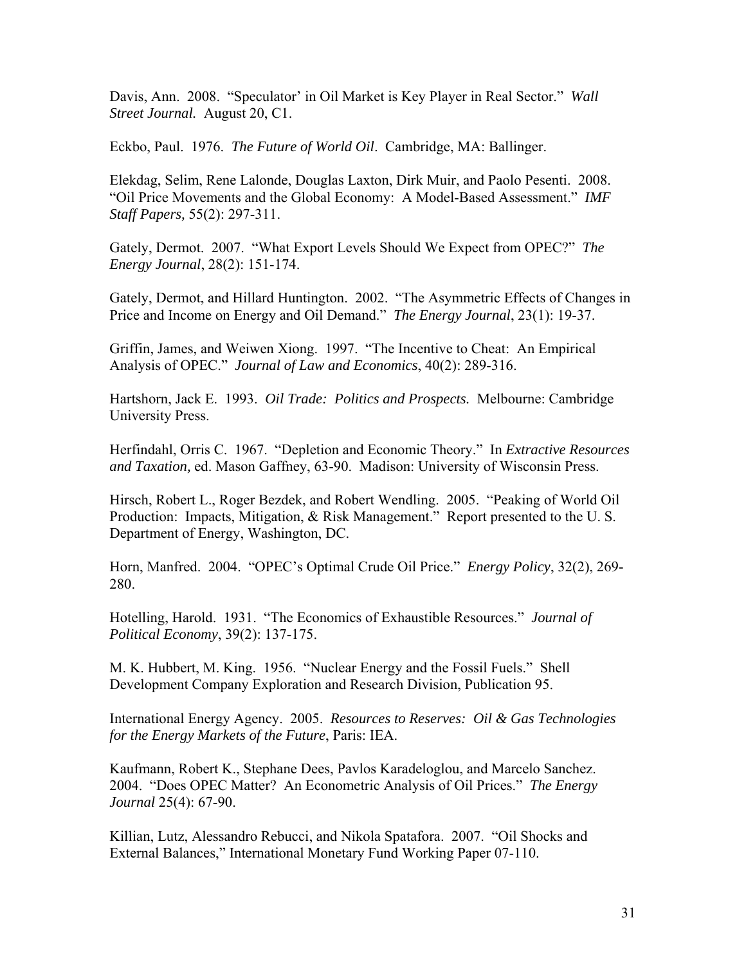Davis, Ann. 2008. "Speculator' in Oil Market is Key Player in Real Sector." *Wall Street Journal.* August 20, C1.

Eckbo, Paul. 1976. *The Future of World Oil*. Cambridge, MA: Ballinger.

Elekdag, Selim, Rene Lalonde, Douglas Laxton, Dirk Muir, and Paolo Pesenti. 2008. "Oil Price Movements and the Global Economy: A Model-Based Assessment." *IMF Staff Papers,* 55(2): 297-311.

Gately, Dermot. 2007. "What Export Levels Should We Expect from OPEC?" *The Energy Journal*, 28(2): 151-174.

Gately, Dermot, and Hillard Huntington. 2002. "The Asymmetric Effects of Changes in Price and Income on Energy and Oil Demand." *The Energy Journal*, 23(1): 19-37.

Griffin, James, and Weiwen Xiong. 1997. "The Incentive to Cheat: An Empirical Analysis of OPEC." *Journal of Law and Economics*, 40(2): 289-316.

Hartshorn, Jack E. 1993. *Oil Trade: Politics and Prospects.* Melbourne: Cambridge University Press.

Herfindahl, Orris C. 1967. "Depletion and Economic Theory." In *Extractive Resources and Taxation,* ed. Mason Gaffney, 63-90. Madison: University of Wisconsin Press.

Hirsch, Robert L., Roger Bezdek, and Robert Wendling. 2005. "Peaking of World Oil Production: Impacts, Mitigation, & Risk Management." Report presented to the U. S. Department of Energy, Washington, DC.

Horn, Manfred. 2004. "OPEC's Optimal Crude Oil Price." *Energy Policy*, 32(2), 269- 280.

Hotelling, Harold. 1931. "The Economics of Exhaustible Resources." *Journal of Political Economy*, 39(2): 137-175.

M. K. Hubbert, M. King. 1956. "Nuclear Energy and the Fossil Fuels." Shell Development Company Exploration and Research Division, Publication 95.

International Energy Agency. 2005. *Resources to Reserves: Oil & Gas Technologies for the Energy Markets of the Future*, Paris: IEA.

Kaufmann, Robert K., Stephane Dees, Pavlos Karadeloglou, and Marcelo Sanchez. 2004. "Does OPEC Matter? An Econometric Analysis of Oil Prices." *The Energy Journal* 25(4): 67-90.

Killian, Lutz, Alessandro Rebucci, and Nikola Spatafora. 2007. "Oil Shocks and External Balances," International Monetary Fund Working Paper 07-110.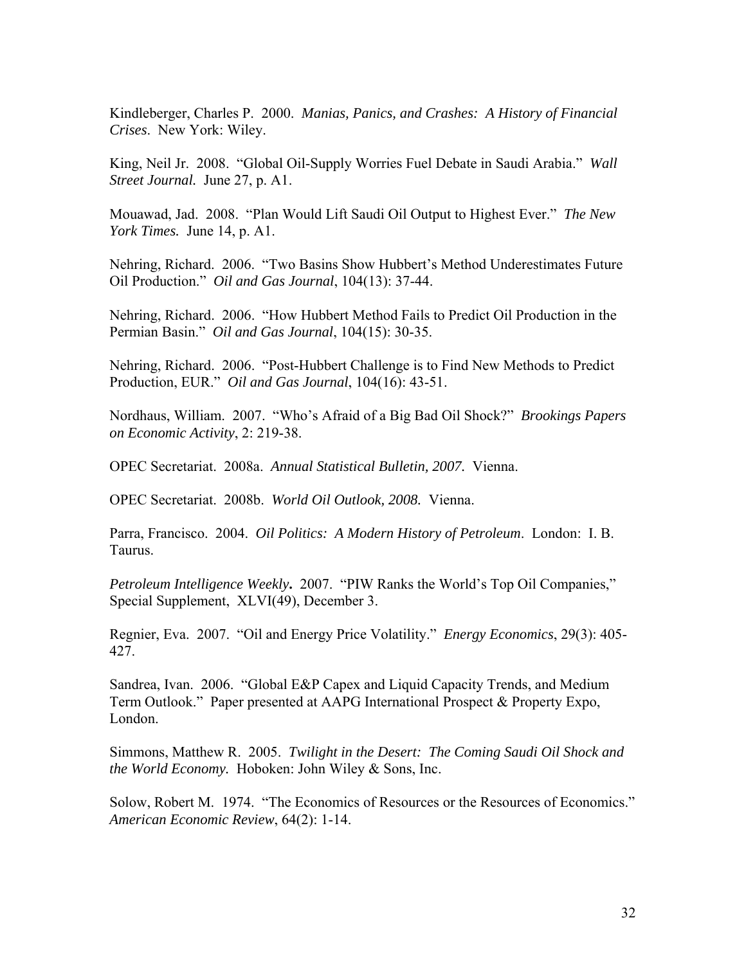Kindleberger, Charles P. 2000. *Manias, Panics, and Crashes: A History of Financial Crises*. New York: Wiley.

King, Neil Jr. 2008. "Global Oil-Supply Worries Fuel Debate in Saudi Arabia." *Wall Street Journal.* June 27, p. A1.

Mouawad, Jad. 2008. "Plan Would Lift Saudi Oil Output to Highest Ever." *The New York Times.* June 14, p. A1.

Nehring, Richard. 2006. "Two Basins Show Hubbert's Method Underestimates Future Oil Production." *Oil and Gas Journal*, 104(13): 37-44.

Nehring, Richard. 2006. "How Hubbert Method Fails to Predict Oil Production in the Permian Basin." *Oil and Gas Journal*, 104(15): 30-35.

Nehring, Richard. 2006. "Post-Hubbert Challenge is to Find New Methods to Predict Production, EUR." *Oil and Gas Journal*, 104(16): 43-51.

Nordhaus, William. 2007. "Who's Afraid of a Big Bad Oil Shock?" *Brookings Papers on Economic Activity*, 2: 219-38.

OPEC Secretariat. 2008a. *Annual Statistical Bulletin, 2007.* Vienna.

OPEC Secretariat. 2008b. *World Oil Outlook, 2008.* Vienna.

Parra, Francisco. 2004. *Oil Politics: A Modern History of Petroleum*. London: I. B. Taurus.

*Petroleum Intelligence Weekly***.** 2007. "PIW Ranks the World's Top Oil Companies," Special Supplement, XLVI(49), December 3.

Regnier, Eva. 2007. "Oil and Energy Price Volatility." *Energy Economics*, 29(3): 405- 427.

Sandrea, Ivan. 2006. "Global E&P Capex and Liquid Capacity Trends, and Medium Term Outlook." Paper presented at AAPG International Prospect & Property Expo, London.

Simmons, Matthew R. 2005. *Twilight in the Desert: The Coming Saudi Oil Shock and the World Economy.* Hoboken: John Wiley & Sons, Inc.

Solow, Robert M. 1974. "The Economics of Resources or the Resources of Economics." *American Economic Review*, 64(2): 1-14.